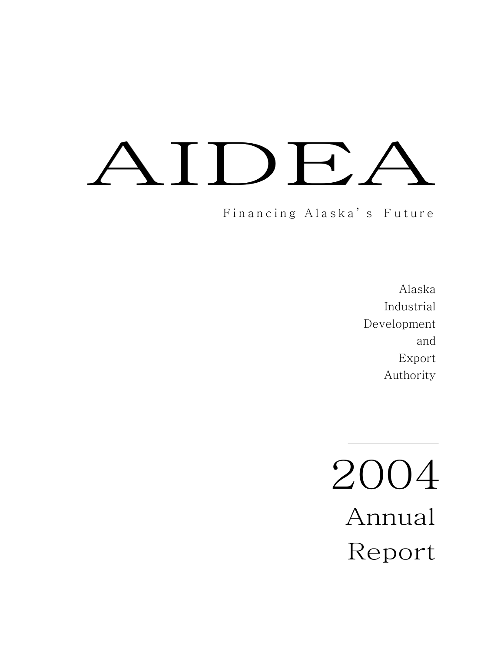# DF,

Financing Alaska' s Future

Alaska Industrial Development and Export Authority

2004 Annual Report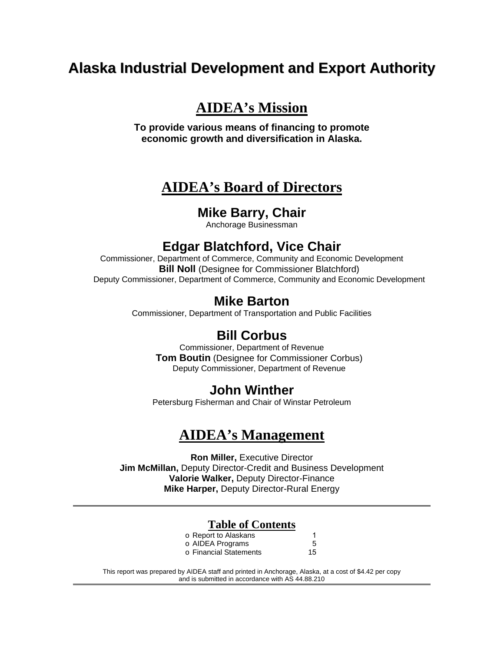# **Alaska Industrial Development and Export Authority**

# **AIDEA's Mission**

**To provide various means of financing to promote economic growth and diversification in Alaska.** 

# **AIDEA's Board of Directors**

# **Mike Barry, Chair**

Anchorage Businessman

# **Edgar Blatchford, Vice Chair**

Commissioner, Department of Commerce, Community and Economic Development **Bill Noll** (Designee for Commissioner Blatchford) Deputy Commissioner, Department of Commerce, Community and Economic Development

# **Mike Barton**

Commissioner, Department of Transportation and Public Facilities

# **Bill Corbus**

Commissioner, Department of Revenue **Tom Boutin** (Designee for Commissioner Corbus) Deputy Commissioner, Department of Revenue

# **John Winther**

Petersburg Fisherman and Chair of Winstar Petroleum

# **AIDEA's Management**

**Ron Miller,** Executive Director **Jim McMillan,** Deputy Director-Credit and Business Development **Valorie Walker,** Deputy Director-Finance **Mike Harper,** Deputy Director-Rural Energy

# **Table of Contents**

| o Report to Alaskans   |    |
|------------------------|----|
| o AIDEA Programs       | 5  |
| o Financial Statements | 15 |

This report was prepared by AIDEA staff and printed in Anchorage, Alaska, at a cost of \$4.42 per copy and is submitted in accordance with AS 44.88.210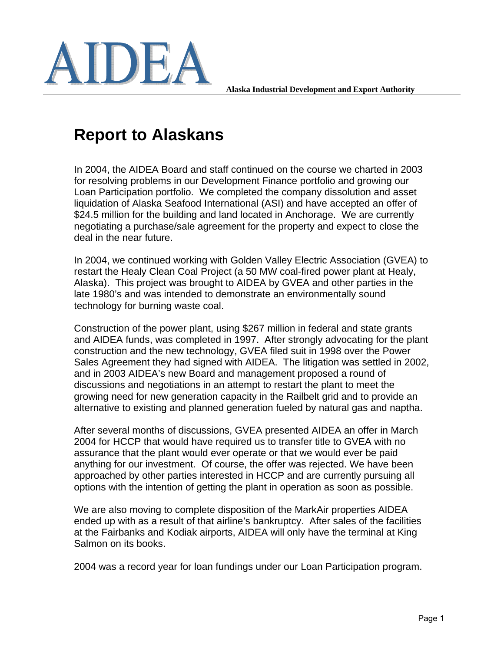

**Alaska Industrial Development and Export Authority** 

# **Report to Alaskans**

In 2004, the AIDEA Board and staff continued on the course we charted in 2003 for resolving problems in our Development Finance portfolio and growing our Loan Participation portfolio. We completed the company dissolution and asset liquidation of Alaska Seafood International (ASI) and have accepted an offer of \$24.5 million for the building and land located in Anchorage. We are currently negotiating a purchase/sale agreement for the property and expect to close the deal in the near future.

In 2004, we continued working with Golden Valley Electric Association (GVEA) to restart the Healy Clean Coal Project (a 50 MW coal-fired power plant at Healy, Alaska). This project was brought to AIDEA by GVEA and other parties in the late 1980's and was intended to demonstrate an environmentally sound technology for burning waste coal.

Construction of the power plant, using \$267 million in federal and state grants and AIDEA funds, was completed in 1997. After strongly advocating for the plant construction and the new technology, GVEA filed suit in 1998 over the Power Sales Agreement they had signed with AIDEA. The litigation was settled in 2002, and in 2003 AIDEA's new Board and management proposed a round of discussions and negotiations in an attempt to restart the plant to meet the growing need for new generation capacity in the Railbelt grid and to provide an alternative to existing and planned generation fueled by natural gas and naptha.

After several months of discussions, GVEA presented AIDEA an offer in March 2004 for HCCP that would have required us to transfer title to GVEA with no assurance that the plant would ever operate or that we would ever be paid anything for our investment. Of course, the offer was rejected. We have been approached by other parties interested in HCCP and are currently pursuing all options with the intention of getting the plant in operation as soon as possible.

We are also moving to complete disposition of the MarkAir properties AIDEA ended up with as a result of that airline's bankruptcy. After sales of the facilities at the Fairbanks and Kodiak airports, AIDEA will only have the terminal at King Salmon on its books.

2004 was a record year for loan fundings under our Loan Participation program.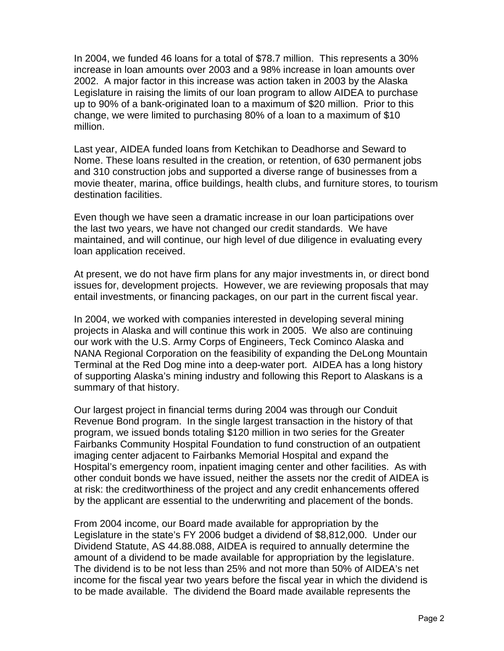In 2004, we funded 46 loans for a total of \$78.7 million. This represents a 30% increase in loan amounts over 2003 and a 98% increase in loan amounts over 2002. A major factor in this increase was action taken in 2003 by the Alaska Legislature in raising the limits of our loan program to allow AIDEA to purchase up to 90% of a bank-originated loan to a maximum of \$20 million. Prior to this change, we were limited to purchasing 80% of a loan to a maximum of \$10 million.

Last year, AIDEA funded loans from Ketchikan to Deadhorse and Seward to Nome. These loans resulted in the creation, or retention, of 630 permanent jobs and 310 construction jobs and supported a diverse range of businesses from a movie theater, marina, office buildings, health clubs, and furniture stores, to tourism destination facilities.

Even though we have seen a dramatic increase in our loan participations over the last two years, we have not changed our credit standards. We have maintained, and will continue, our high level of due diligence in evaluating every loan application received.

At present, we do not have firm plans for any major investments in, or direct bond issues for, development projects. However, we are reviewing proposals that may entail investments, or financing packages, on our part in the current fiscal year.

In 2004, we worked with companies interested in developing several mining projects in Alaska and will continue this work in 2005. We also are continuing our work with the U.S. Army Corps of Engineers, Teck Cominco Alaska and NANA Regional Corporation on the feasibility of expanding the DeLong Mountain Terminal at the Red Dog mine into a deep-water port. AIDEA has a long history of supporting Alaska's mining industry and following this Report to Alaskans is a summary of that history.

Our largest project in financial terms during 2004 was through our Conduit Revenue Bond program. In the single largest transaction in the history of that program, we issued bonds totaling \$120 million in two series for the Greater Fairbanks Community Hospital Foundation to fund construction of an outpatient imaging center adjacent to Fairbanks Memorial Hospital and expand the Hospital's emergency room, inpatient imaging center and other facilities. As with other conduit bonds we have issued, neither the assets nor the credit of AIDEA is at risk: the creditworthiness of the project and any credit enhancements offered by the applicant are essential to the underwriting and placement of the bonds.

From 2004 income, our Board made available for appropriation by the Legislature in the state's FY 2006 budget a dividend of \$8,812,000. Under our Dividend Statute, AS 44.88.088, AIDEA is required to annually determine the amount of a dividend to be made available for appropriation by the legislature. The dividend is to be not less than 25% and not more than 50% of AIDEA's net income for the fiscal year two years before the fiscal year in which the dividend is to be made available. The dividend the Board made available represents the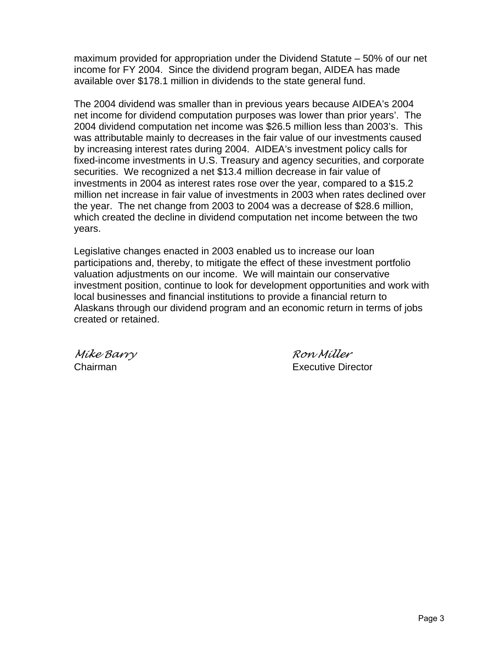maximum provided for appropriation under the Dividend Statute – 50% of our net income for FY 2004. Since the dividend program began, AIDEA has made available over \$178.1 million in dividends to the state general fund.

The 2004 dividend was smaller than in previous years because AIDEA's 2004 net income for dividend computation purposes was lower than prior years'. The 2004 dividend computation net income was \$26.5 million less than 2003's. This was attributable mainly to decreases in the fair value of our investments caused by increasing interest rates during 2004. AIDEA's investment policy calls for fixed-income investments in U.S. Treasury and agency securities, and corporate securities. We recognized a net \$13.4 million decrease in fair value of investments in 2004 as interest rates rose over the year, compared to a \$15.2 million net increase in fair value of investments in 2003 when rates declined over the year. The net change from 2003 to 2004 was a decrease of \$28.6 million, which created the decline in dividend computation net income between the two years.

Legislative changes enacted in 2003 enabled us to increase our loan participations and, thereby, to mitigate the effect of these investment portfolio valuation adjustments on our income. We will maintain our conservative investment position, continue to look for development opportunities and work with local businesses and financial institutions to provide a financial return to Alaskans through our dividend program and an economic return in terms of jobs created or retained.

*Mike Barry Ron Miller*  Chairman Executive Director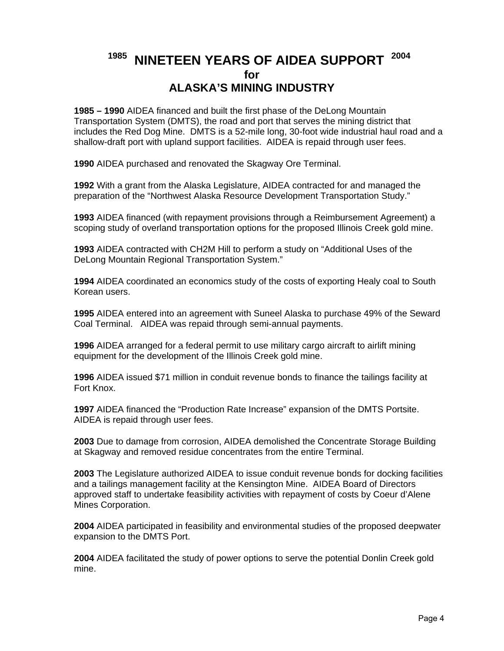# **1985 NINETEEN YEARS OF AIDEA SUPPORT 2004 for ALASKA'S MINING INDUSTRY**

**1985 – 1990** AIDEA financed and built the first phase of the DeLong Mountain Transportation System (DMTS), the road and port that serves the mining district that includes the Red Dog Mine. DMTS is a 52-mile long, 30-foot wide industrial haul road and a shallow-draft port with upland support facilities. AIDEA is repaid through user fees.

**1990** AIDEA purchased and renovated the Skagway Ore Terminal.

**1992** With a grant from the Alaska Legislature, AIDEA contracted for and managed the preparation of the "Northwest Alaska Resource Development Transportation Study."

**1993** AIDEA financed (with repayment provisions through a Reimbursement Agreement) a scoping study of overland transportation options for the proposed Illinois Creek gold mine.

**1993** AIDEA contracted with CH2M Hill to perform a study on "Additional Uses of the DeLong Mountain Regional Transportation System."

**1994** AIDEA coordinated an economics study of the costs of exporting Healy coal to South Korean users.

**1995** AIDEA entered into an agreement with Suneel Alaska to purchase 49% of the Seward Coal Terminal. AIDEA was repaid through semi-annual payments.

**1996** AIDEA arranged for a federal permit to use military cargo aircraft to airlift mining equipment for the development of the Illinois Creek gold mine.

**1996** AIDEA issued \$71 million in conduit revenue bonds to finance the tailings facility at Fort Knox.

**1997** AIDEA financed the "Production Rate Increase" expansion of the DMTS Portsite. AIDEA is repaid through user fees.

**2003** Due to damage from corrosion, AIDEA demolished the Concentrate Storage Building at Skagway and removed residue concentrates from the entire Terminal.

**2003** The Legislature authorized AIDEA to issue conduit revenue bonds for docking facilities and a tailings management facility at the Kensington Mine. AIDEA Board of Directors approved staff to undertake feasibility activities with repayment of costs by Coeur d'Alene Mines Corporation.

**2004** AIDEA participated in feasibility and environmental studies of the proposed deepwater expansion to the DMTS Port.

**2004** AIDEA facilitated the study of power options to serve the potential Donlin Creek gold mine.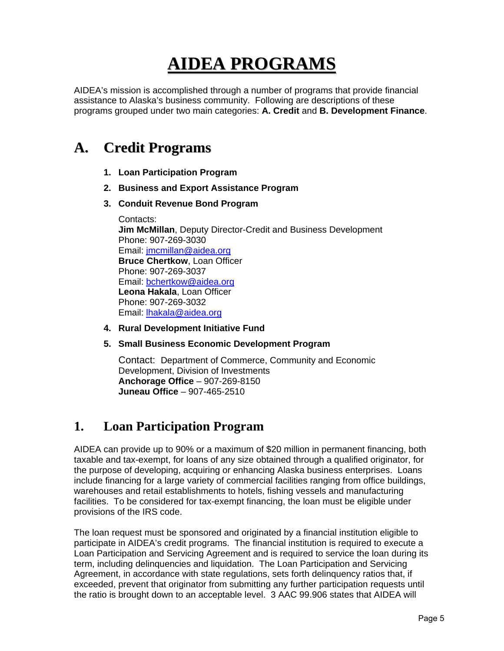# **AIDEA PROGRAMS**

AIDEA's mission is accomplished through a number of programs that provide financial assistance to Alaska's business community. Following are descriptions of these programs grouped under two main categories: **A. Credit** and **B. Development Finance**.

# **A. Credit Programs**

- **1. Loan Participation Program**
- **2. Business and Export Assistance Program**
- **3. Conduit Revenue Bond Program**

Contacts: **Jim McMillan**, Deputy Director-Credit and Business Development Phone: 907-269-3030 Email: jmcmillan@aidea.org **Bruce Chertkow**, Loan Officer Phone: 907-269-3037 Email: bchertkow@aidea.org **Leona Hakala**, Loan Officer Phone: 907-269-3032 Email: lhakala@aidea.org

- **4. Rural Development Initiative Fund**
- **5. Small Business Economic Development Program**

Contact: Department of Commerce, Community and Economic Development, Division of Investments **Anchorage Office** – 907-269-8150 **Juneau Office** – 907-465-2510

# **1. Loan Participation Program**

AIDEA can provide up to 90% or a maximum of \$20 million in permanent financing, both taxable and tax-exempt, for loans of any size obtained through a qualified originator, for the purpose of developing, acquiring or enhancing Alaska business enterprises. Loans include financing for a large variety of commercial facilities ranging from office buildings, warehouses and retail establishments to hotels, fishing vessels and manufacturing facilities. To be considered for tax-exempt financing, the loan must be eligible under provisions of the IRS code.

The loan request must be sponsored and originated by a financial institution eligible to participate in AIDEA's credit programs. The financial institution is required to execute a Loan Participation and Servicing Agreement and is required to service the loan during its term, including delinquencies and liquidation. The Loan Participation and Servicing Agreement, in accordance with state regulations, sets forth delinquency ratios that, if exceeded, prevent that originator from submitting any further participation requests until the ratio is brought down to an acceptable level. 3 AAC 99.906 states that AIDEA will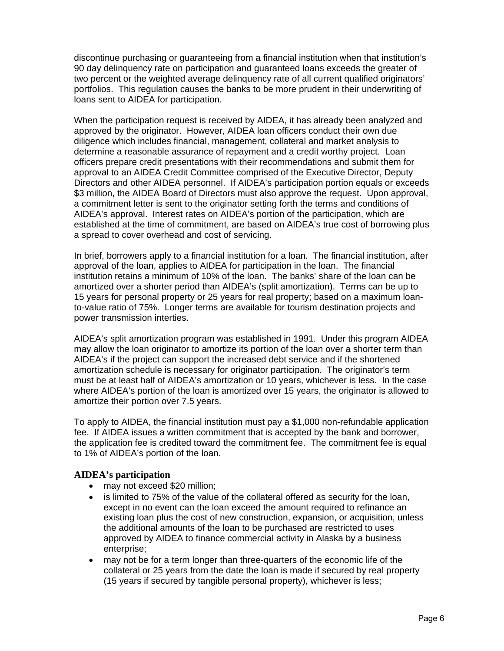discontinue purchasing or guaranteeing from a financial institution when that institution's 90 day delinquency rate on participation and guaranteed loans exceeds the greater of two percent or the weighted average delinquency rate of all current qualified originators' portfolios. This regulation causes the banks to be more prudent in their underwriting of loans sent to AIDEA for participation.

When the participation request is received by AIDEA, it has already been analyzed and approved by the originator. However, AIDEA loan officers conduct their own due diligence which includes financial, management, collateral and market analysis to determine a reasonable assurance of repayment and a credit worthy project. Loan officers prepare credit presentations with their recommendations and submit them for approval to an AIDEA Credit Committee comprised of the Executive Director, Deputy Directors and other AIDEA personnel. If AIDEA's participation portion equals or exceeds \$3 million, the AIDEA Board of Directors must also approve the request. Upon approval, a commitment letter is sent to the originator setting forth the terms and conditions of AIDEA's approval. Interest rates on AIDEA's portion of the participation, which are established at the time of commitment, are based on AIDEA's true cost of borrowing plus a spread to cover overhead and cost of servicing.

In brief, borrowers apply to a financial institution for a loan. The financial institution, after approval of the loan, applies to AIDEA for participation in the loan. The financial institution retains a minimum of 10% of the loan. The banks' share of the loan can be amortized over a shorter period than AIDEA's (split amortization). Terms can be up to 15 years for personal property or 25 years for real property; based on a maximum loanto-value ratio of 75%. Longer terms are available for tourism destination projects and power transmission interties.

AIDEA's split amortization program was established in 1991. Under this program AIDEA may allow the loan originator to amortize its portion of the loan over a shorter term than AIDEA's if the project can support the increased debt service and if the shortened amortization schedule is necessary for originator participation. The originator's term must be at least half of AIDEA's amortization or 10 years, whichever is less. In the case where AIDEA's portion of the loan is amortized over 15 years, the originator is allowed to amortize their portion over 7.5 years.

To apply to AIDEA, the financial institution must pay a \$1,000 non-refundable application fee. If AIDEA issues a written commitment that is accepted by the bank and borrower, the application fee is credited toward the commitment fee. The commitment fee is equal to 1% of AIDEA's portion of the loan.

# **AIDEA's participation**

- may not exceed \$20 million;
- is limited to 75% of the value of the collateral offered as security for the loan, except in no event can the loan exceed the amount required to refinance an existing loan plus the cost of new construction, expansion, or acquisition, unless the additional amounts of the loan to be purchased are restricted to uses approved by AIDEA to finance commercial activity in Alaska by a business enterprise;
- may not be for a term longer than three-quarters of the economic life of the collateral or 25 years from the date the loan is made if secured by real property (15 years if secured by tangible personal property), whichever is less;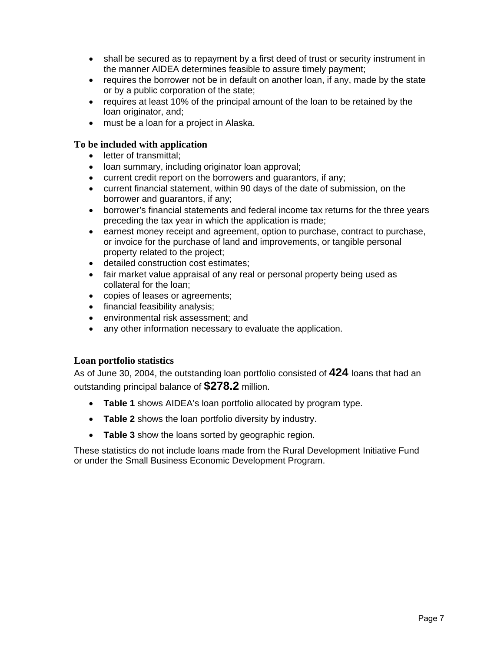- shall be secured as to repayment by a first deed of trust or security instrument in the manner AIDEA determines feasible to assure timely payment;
- requires the borrower not be in default on another loan, if any, made by the state or by a public corporation of the state;
- requires at least 10% of the principal amount of the loan to be retained by the loan originator, and;
- must be a loan for a project in Alaska.

# **To be included with application**

- letter of transmittal;
- loan summary, including originator loan approval;
- current credit report on the borrowers and guarantors, if any;
- current financial statement, within 90 days of the date of submission, on the borrower and guarantors, if any;
- borrower's financial statements and federal income tax returns for the three years preceding the tax year in which the application is made;
- earnest money receipt and agreement, option to purchase, contract to purchase, or invoice for the purchase of land and improvements, or tangible personal property related to the project;
- detailed construction cost estimates;
- fair market value appraisal of any real or personal property being used as collateral for the loan;
- copies of leases or agreements;
- financial feasibility analysis;
- environmental risk assessment; and
- any other information necessary to evaluate the application.

# **Loan portfolio statistics**

As of June 30, 2004, the outstanding loan portfolio consisted of **424** loans that had an outstanding principal balance of **\$278.2** million.

- **Table 1** shows AIDEA's loan portfolio allocated by program type.
- **Table 2** shows the loan portfolio diversity by industry.
- **Table 3** show the loans sorted by geographic region.

These statistics do not include loans made from the Rural Development Initiative Fund or under the Small Business Economic Development Program.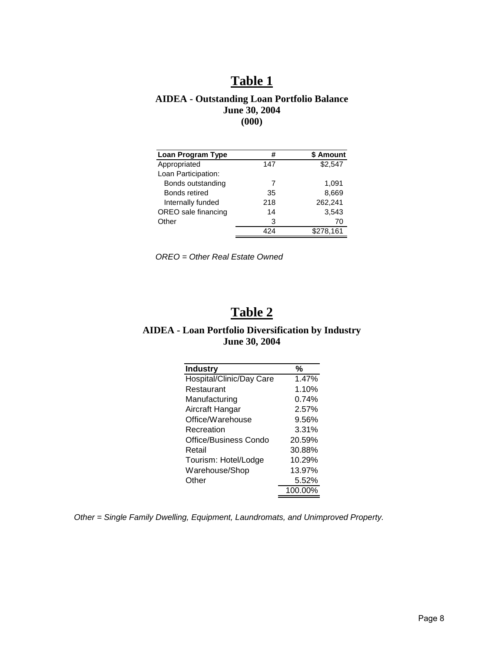# **Table 1**

# **AIDEA - Outstanding Loan Portfolio Balance June 30, 2004 (000)**

| #   | \$ Amount |
|-----|-----------|
| 147 | \$2.547   |
|     |           |
| 7   | 1,091     |
| 35  | 8,669     |
| 218 | 262,241   |
| 14  | 3,543     |
| 3   | 70        |
| 424 | \$278,161 |
|     |           |

*OREO = Other Real Estate Owned* 

# **Table 2**

# **AIDEA - Loan Portfolio Diversification by Industry June 30, 2004**

| <b>Industry</b>              | %       |
|------------------------------|---------|
| Hospital/Clinic/Day Care     | 1.47%   |
| Restaurant                   | 1.10%   |
| Manufacturing                | 0.74%   |
| Aircraft Hangar              | 2.57%   |
| Office/Warehouse             | 9.56%   |
| Recreation                   | 3.31%   |
| <b>Office/Business Condo</b> | 20.59%  |
| Retail                       | 30.88%  |
| Tourism: Hotel/Lodge         | 10.29%  |
| Warehouse/Shop               | 13.97%  |
| Other                        | 5.52%   |
|                              | 100.00% |

*Other = Single Family Dwelling, Equipment, Laundromats, and Unimproved Property.*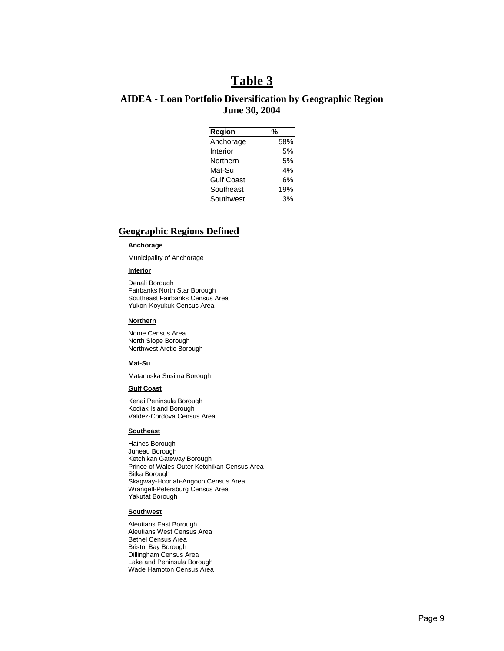# **Table 3**

# **AIDEA - Loan Portfolio Diversification by Geographic Region June 30, 2004**

| Region            | %   |
|-------------------|-----|
| Anchorage         | 58% |
| Interior          | 5%  |
| Northern          | 5%  |
| Mat-Su            | 4%  |
| <b>Gulf Coast</b> | 6%  |
| Southeast         | 19% |
| Southwest         | 3%  |

## **Geographic Regions Defined**

#### **Anchorage**

Municipality of Anchorage

#### **Interior**

Denali Borough Fairbanks North Star Borough Southeast Fairbanks Census Area Yukon-Koyukuk Census Area

#### **Northern**

Nome Census Area North Slope Borough Northwest Arctic Borough

#### **Mat-Su**

Matanuska Susitna Borough

#### **Gulf Coast**

Kenai Peninsula Borough Kodiak Island Borough Valdez-Cordova Census Area

#### **Southeast**

Haines Borough Juneau Borough Ketchikan Gateway Borough Prince of Wales-Outer Ketchikan Census Area Sitka Borough Skagway-Hoonah-Angoon Census Area Wrangell-Petersburg Census Area Yakutat Borough

#### **Southwest**

Aleutians East Borough Aleutians West Census Area Bethel Census Area Bristol Bay Borough Dillingham Census Area Lake and Peninsula Borough Wade Hampton Census Area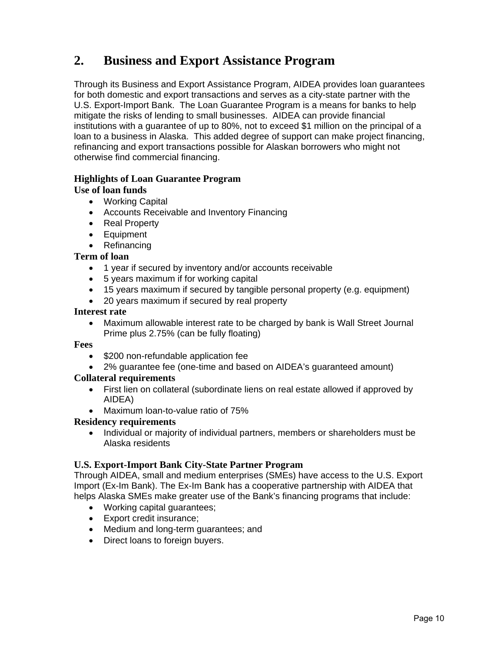# **2. Business and Export Assistance Program**

Through its Business and Export Assistance Program, AIDEA provides loan guarantees for both domestic and export transactions and serves as a city-state partner with the U.S. Export-Import Bank. The Loan Guarantee Program is a means for banks to help mitigate the risks of lending to small businesses. AIDEA can provide financial institutions with a guarantee of up to 80%, not to exceed \$1 million on the principal of a loan to a business in Alaska. This added degree of support can make project financing, refinancing and export transactions possible for Alaskan borrowers who might not otherwise find commercial financing.

# **Highlights of Loan Guarantee Program**

# **Use of loan funds**

- Working Capital
- Accounts Receivable and Inventory Financing
- Real Property
- Equipment
- Refinancing

# **Term of loan**

- 1 year if secured by inventory and/or accounts receivable
- 5 years maximum if for working capital
- 15 years maximum if secured by tangible personal property (e.g. equipment)
- 20 years maximum if secured by real property

## **Interest rate**

• Maximum allowable interest rate to be charged by bank is Wall Street Journal Prime plus 2.75% (can be fully floating)

# **Fees**

- \$200 non-refundable application fee
- 2% guarantee fee (one-time and based on AIDEA's guaranteed amount)

# **Collateral requirements**

- First lien on collateral (subordinate liens on real estate allowed if approved by AIDEA)
- Maximum loan-to-value ratio of 75%

## **Residency requirements**

• Individual or majority of individual partners, members or shareholders must be Alaska residents

# **U.S. Export-Import Bank City-State Partner Program**

Through AIDEA, small and medium enterprises (SMEs) have access to the U.S. Export Import (Ex-Im Bank). The Ex-Im Bank has a cooperative partnership with AIDEA that helps Alaska SMEs make greater use of the Bank's financing programs that include:

- Working capital quarantees:
- Export credit insurance;
- Medium and long-term guarantees; and
- Direct loans to foreign buyers.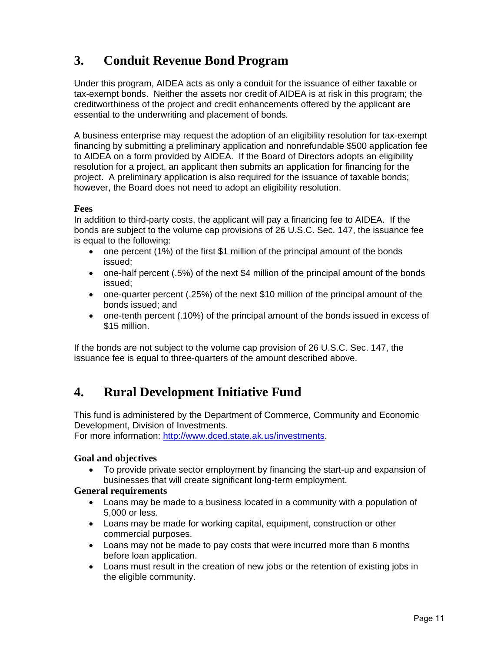# **3. Conduit Revenue Bond Program**

Under this program, AIDEA acts as only a conduit for the issuance of either taxable or tax-exempt bonds. Neither the assets nor credit of AIDEA is at risk in this program; the creditworthiness of the project and credit enhancements offered by the applicant are essential to the underwriting and placement of bonds*.* 

A business enterprise may request the adoption of an eligibility resolution for tax-exempt financing by submitting a preliminary application and nonrefundable \$500 application fee to AIDEA on a form provided by AIDEA. If the Board of Directors adopts an eligibility resolution for a project, an applicant then submits an application for financing for the project. A preliminary application is also required for the issuance of taxable bonds; however, the Board does not need to adopt an eligibility resolution.

# **Fees**

In addition to third-party costs, the applicant will pay a financing fee to AIDEA. If the bonds are subject to the volume cap provisions of 26 U.S.C. Sec. 147, the issuance fee is equal to the following:

- one percent (1%) of the first \$1 million of the principal amount of the bonds issued;
- one-half percent (.5%) of the next \$4 million of the principal amount of the bonds issued;
- one-quarter percent (.25%) of the next \$10 million of the principal amount of the bonds issued; and
- one-tenth percent (.10%) of the principal amount of the bonds issued in excess of \$15 million.

If the bonds are not subject to the volume cap provision of 26 U.S.C. Sec. 147, the issuance fee is equal to three-quarters of the amount described above.

# **4. Rural Development Initiative Fund**

This fund is administered by the Department of Commerce, Community and Economic Development, Division of Investments.

For more information: [http://www.dced.state.ak.us/investments.](http://www.dced.state.ak.us/investments)

# **Goal and objectives**

• To provide private sector employment by financing the start-up and expansion of businesses that will create significant long-term employment.

## **General requirements**

- Loans may be made to a business located in a community with a population of 5,000 or less.
- Loans may be made for working capital, equipment, construction or other commercial purposes.
- Loans may not be made to pay costs that were incurred more than 6 months before loan application.
- Loans must result in the creation of new jobs or the retention of existing jobs in the eligible community.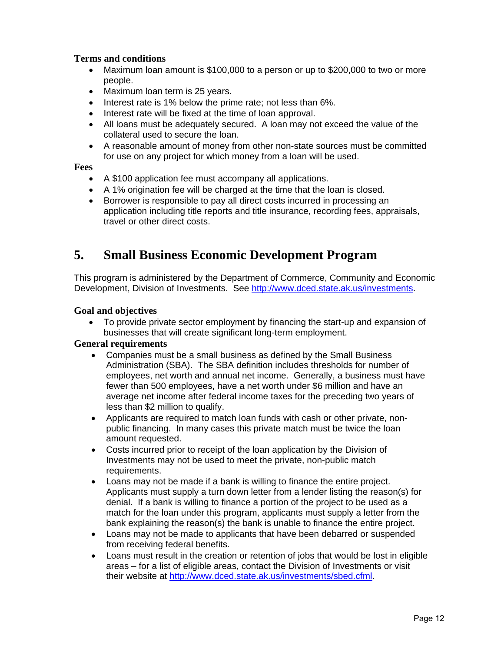# **Terms and conditions**

- Maximum loan amount is \$100,000 to a person or up to \$200,000 to two or more people.
- Maximum loan term is 25 years.
- Interest rate is 1% below the prime rate; not less than 6%.
- Interest rate will be fixed at the time of loan approval.
- All loans must be adequately secured. A loan may not exceed the value of the collateral used to secure the loan.
- A reasonable amount of money from other non-state sources must be committed for use on any project for which money from a loan will be used.

# **Fees**

- A \$100 application fee must accompany all applications.
- A 1% origination fee will be charged at the time that the loan is closed.
- Borrower is responsible to pay all direct costs incurred in processing an application including title reports and title insurance, recording fees, appraisals, travel or other direct costs.

# **5. Small Business Economic Development Program**

This program is administered by the Department of Commerce, Community and Economic Development, Division of Investments. See [http://www.dced.state.ak.us/investments.](http://www.dced.state.ak.us/investments)

# **Goal and objectives**

• To provide private sector employment by financing the start-up and expansion of businesses that will create significant long-term employment.

# **General requirements**

- Companies must be a small business as defined by the Small Business Administration (SBA). The SBA definition includes thresholds for number of employees, net worth and annual net income. Generally, a business must have fewer than 500 employees, have a net worth under \$6 million and have an average net income after federal income taxes for the preceding two years of less than \$2 million to qualify.
- Applicants are required to match loan funds with cash or other private, nonpublic financing. In many cases this private match must be twice the loan amount requested.
- Costs incurred prior to receipt of the loan application by the Division of Investments may not be used to meet the private, non-public match requirements.
- Loans may not be made if a bank is willing to finance the entire project. Applicants must supply a turn down letter from a lender listing the reason(s) for denial. If a bank is willing to finance a portion of the project to be used as a match for the loan under this program, applicants must supply a letter from the bank explaining the reason(s) the bank is unable to finance the entire project.
- Loans may not be made to applicants that have been debarred or suspended from receiving federal benefits.
- Loans must result in the creation or retention of jobs that would be lost in eligible areas – for a list of eligible areas, contact the Division of Investments or visit their website at [http://www.dced.state.ak.us/investments/sbed.cfml.](http://www.dced.state.ak.us/investments/sbed.cfml)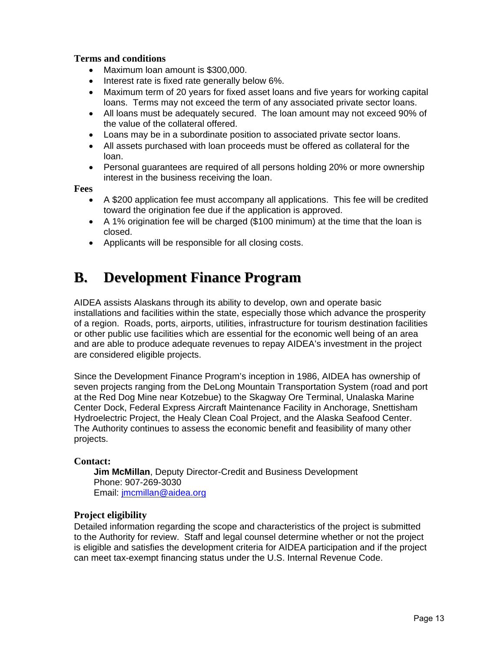# **Terms and conditions**

- Maximum loan amount is \$300,000.
- Interest rate is fixed rate generally below 6%.
- Maximum term of 20 years for fixed asset loans and five years for working capital loans. Terms may not exceed the term of any associated private sector loans.
- All loans must be adequately secured. The loan amount may not exceed 90% of the value of the collateral offered.
- Loans may be in a subordinate position to associated private sector loans.
- All assets purchased with loan proceeds must be offered as collateral for the loan.
- Personal guarantees are required of all persons holding 20% or more ownership interest in the business receiving the loan.

**Fees**

- A \$200 application fee must accompany all applications. This fee will be credited toward the origination fee due if the application is approved.
- A 1% origination fee will be charged (\$100 minimum) at the time that the loan is closed.
- Applicants will be responsible for all closing costs.

# **B. Development Finance Program**

AIDEA assists Alaskans through its ability to develop, own and operate basic installations and facilities within the state, especially those which advance the prosperity of a region. Roads, ports, airports, utilities, infrastructure for tourism destination facilities or other public use facilities which are essential for the economic well being of an area and are able to produce adequate revenues to repay AIDEA's investment in the project are considered eligible projects.

Since the Development Finance Program's inception in 1986, AIDEA has ownership of seven projects ranging from the DeLong Mountain Transportation System (road and port at the Red Dog Mine near Kotzebue) to the Skagway Ore Terminal, Unalaska Marine Center Dock, Federal Express Aircraft Maintenance Facility in Anchorage, Snettisham Hydroelectric Project, the Healy Clean Coal Project, and the Alaska Seafood Center. The Authority continues to assess the economic benefit and feasibility of many other projects.

## **Contact:**

**Jim McMillan**, Deputy Director-Credit and Business Development Phone: 907-269-3030 Email: jmcmillan@aidea.org

# **Project eligibility**

Detailed information regarding the scope and characteristics of the project is submitted to the Authority for review. Staff and legal counsel determine whether or not the project is eligible and satisfies the development criteria for AIDEA participation and if the project can meet tax-exempt financing status under the U.S. Internal Revenue Code.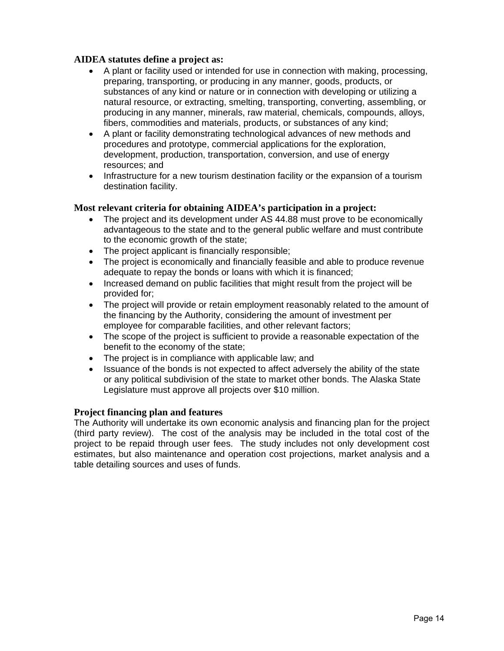# **AIDEA statutes define a project as:**

- A plant or facility used or intended for use in connection with making, processing, preparing, transporting, or producing in any manner, goods, products, or substances of any kind or nature or in connection with developing or utilizing a natural resource, or extracting, smelting, transporting, converting, assembling, or producing in any manner, minerals, raw material, chemicals, compounds, alloys, fibers, commodities and materials, products, or substances of any kind;
- A plant or facility demonstrating technological advances of new methods and procedures and prototype, commercial applications for the exploration, development, production, transportation, conversion, and use of energy resources; and
- Infrastructure for a new tourism destination facility or the expansion of a tourism destination facility.

# **Most relevant criteria for obtaining AIDEA's participation in a project:**

- The project and its development under AS 44.88 must prove to be economically advantageous to the state and to the general public welfare and must contribute to the economic growth of the state;
- The project applicant is financially responsible;
- The project is economically and financially feasible and able to produce revenue adequate to repay the bonds or loans with which it is financed;
- Increased demand on public facilities that might result from the project will be provided for;
- The project will provide or retain employment reasonably related to the amount of the financing by the Authority, considering the amount of investment per employee for comparable facilities, and other relevant factors;
- The scope of the project is sufficient to provide a reasonable expectation of the benefit to the economy of the state;
- The project is in compliance with applicable law; and
- Issuance of the bonds is not expected to affect adversely the ability of the state or any political subdivision of the state to market other bonds. The Alaska State Legislature must approve all projects over \$10 million.

## **Project financing plan and features**

The Authority will undertake its own economic analysis and financing plan for the project (third party review). The cost of the analysis may be included in the total cost of the project to be repaid through user fees. The study includes not only development cost estimates, but also maintenance and operation cost projections, market analysis and a table detailing sources and uses of funds.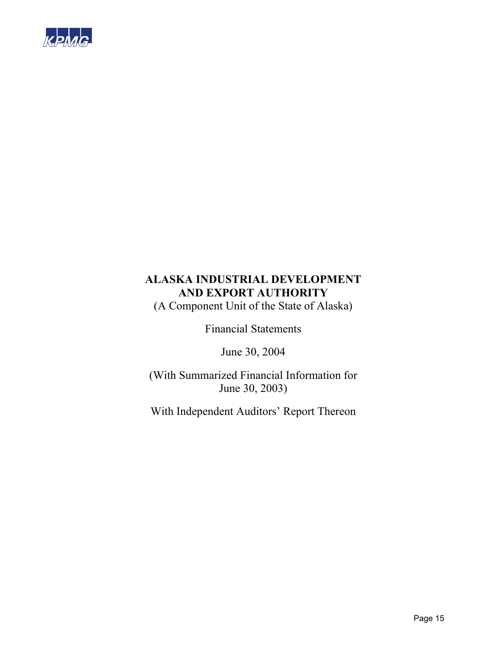

(A Component Unit of the State of Alaska)

Financial Statements

June 30, 2004

(With Summarized Financial Information for June 30, 2003)

With Independent Auditors' Report Thereon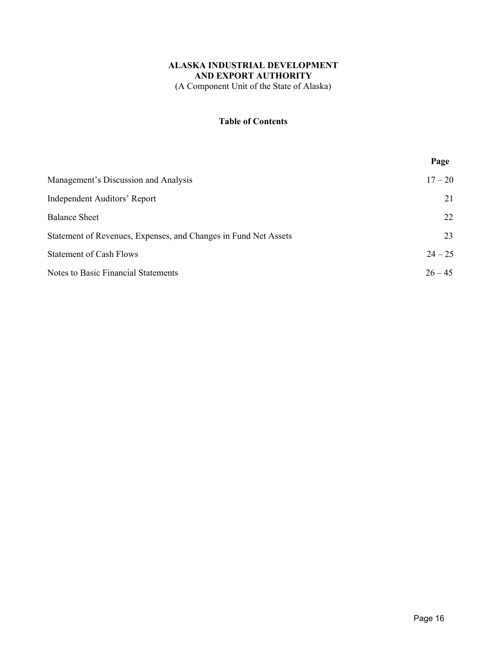# **ALASKA INDUSTRIAL DEVELOPMENT AND EXPORT AUTHORITY**  (A Component Unit of the State of Alaska)

# **Table of Contents**

|                                                                 | Page      |
|-----------------------------------------------------------------|-----------|
| Management's Discussion and Analysis                            | $17 - 20$ |
| <b>Independent Auditors' Report</b>                             | 21        |
| <b>Balance Sheet</b>                                            | 22        |
| Statement of Revenues, Expenses, and Changes in Fund Net Assets | 23        |
| <b>Statement of Cash Flows</b>                                  | $24 - 25$ |
| <b>Notes to Basic Financial Statements</b>                      | $26 - 45$ |
|                                                                 |           |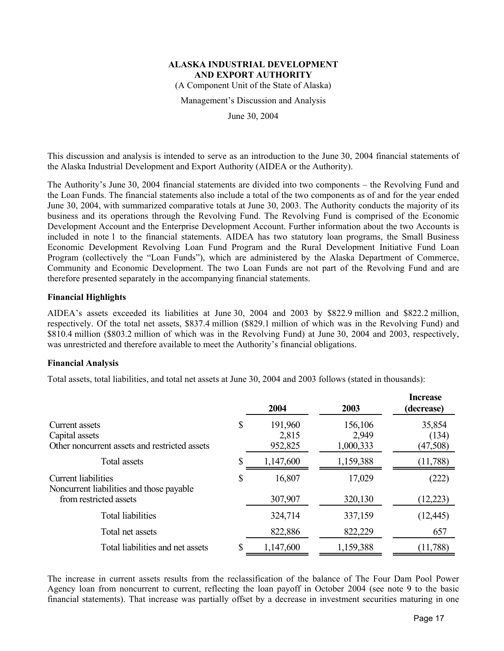(A Component Unit of the State of Alaska)

Management's Discussion and Analysis

June 30, 2004

This discussion and analysis is intended to serve as an introduction to the June 30, 2004 financial statements of the Alaska Industrial Development and Export Authority (AIDEA or the Authority).

The Authority's June 30, 2004 financial statements are divided into two components – the Revolving Fund and the Loan Funds. The financial statements also include a total of the two components as of and for the year ended June 30, 2004, with summarized comparative totals at June 30, 2003. The Authority conducts the majority of its business and its operations through the Revolving Fund. The Revolving Fund is comprised of the Economic Development Account and the Enterprise Development Account. Further information about the two Accounts is included in note 1 to the financial statements. AIDEA has two statutory loan programs, the Small Business Economic Development Revolving Loan Fund Program and the Rural Development Initiative Fund Loan Program (collectively the "Loan Funds"), which are administered by the Alaska Department of Commerce, Community and Economic Development. The two Loan Funds are not part of the Revolving Fund and are therefore presented separately in the accompanying financial statements.

## **Financial Highlights**

AIDEA's assets exceeded its liabilities at June 30, 2004 and 2003 by \$822.9 million and \$822.2 million, respectively. Of the total net assets, \$837.4 million (\$829.1 million of which was in the Revolving Fund) and \$810.4 million (\$803.2 million of which was in the Revolving Fund) at June 30, 2004 and 2003, respectively, was unrestricted and therefore available to meet the Authority's financial obligations.

#### **Financial Analysis**

Total assets, total liabilities, and total net assets at June 30, 2004 and 2003 follows (stated in thousands):

|                                                                                   | 2004                              | 2003                          | <b>Increase</b><br>(decrease) |
|-----------------------------------------------------------------------------------|-----------------------------------|-------------------------------|-------------------------------|
| Current assets<br>Capital assets<br>Other noncurrent assets and restricted assets | \$<br>191,960<br>2,815<br>952,825 | 156,106<br>2,949<br>1,000,333 | 35,854<br>(134)<br>(47,508)   |
| <b>Total assets</b>                                                               | 1,147,600                         | 1,159,388                     | (11, 788)                     |
| <b>Current liabilities</b><br>Noncurrent liabilities and those payable            | \$<br>16,807                      | 17,029                        | (222)                         |
| from restricted assets                                                            | 307,907                           | 320,130                       | (12, 223)                     |
| <b>Total liabilities</b>                                                          | 324,714                           | 337,159                       | (12, 445)                     |
| Total net assets                                                                  | 822,886                           | 822,229                       | 657                           |
| Total liabilities and net assets                                                  | 1,147,600                         | 1,159,388                     | (11,788)                      |

The increase in current assets results from the reclassification of the balance of The Four Dam Pool Power Agency loan from noncurrent to current, reflecting the loan payoff in October 2004 (see note 9 to the basic financial statements). That increase was partially offset by a decrease in investment securities maturing in one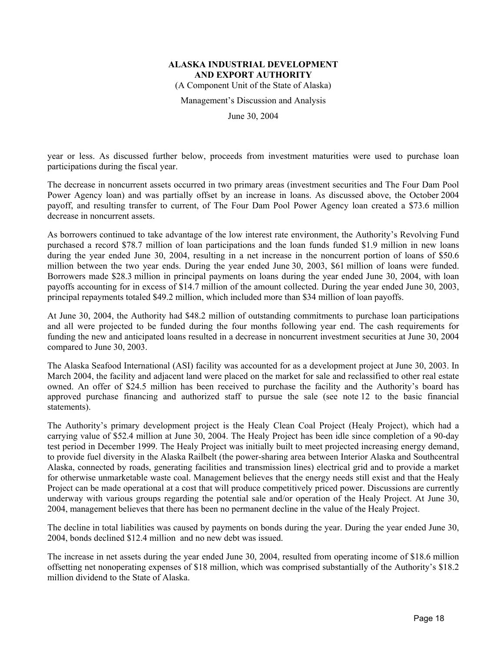(A Component Unit of the State of Alaska)

Management's Discussion and Analysis

June 30, 2004

year or less. As discussed further below, proceeds from investment maturities were used to purchase loan participations during the fiscal year.

The decrease in noncurrent assets occurred in two primary areas (investment securities and The Four Dam Pool Power Agency loan) and was partially offset by an increase in loans. As discussed above, the October 2004 payoff, and resulting transfer to current, of The Four Dam Pool Power Agency loan created a \$73.6 million decrease in noncurrent assets.

As borrowers continued to take advantage of the low interest rate environment, the Authority's Revolving Fund purchased a record \$78.7 million of loan participations and the loan funds funded \$1.9 million in new loans during the year ended June 30, 2004, resulting in a net increase in the noncurrent portion of loans of \$50.6 million between the two year ends. During the year ended June 30, 2003, \$61 million of loans were funded. Borrowers made \$28.3 million in principal payments on loans during the year ended June 30, 2004, with loan payoffs accounting for in excess of \$14.7 million of the amount collected. During the year ended June 30, 2003, principal repayments totaled \$49.2 million, which included more than \$34 million of loan payoffs.

At June 30, 2004, the Authority had \$48.2 million of outstanding commitments to purchase loan participations and all were projected to be funded during the four months following year end. The cash requirements for funding the new and anticipated loans resulted in a decrease in noncurrent investment securities at June 30, 2004 compared to June 30, 2003.

The Alaska Seafood International (ASI) facility was accounted for as a development project at June 30, 2003. In March 2004, the facility and adjacent land were placed on the market for sale and reclassified to other real estate owned. An offer of \$24.5 million has been received to purchase the facility and the Authority's board has approved purchase financing and authorized staff to pursue the sale (see note 12 to the basic financial statements).

The Authority's primary development project is the Healy Clean Coal Project (Healy Project), which had a carrying value of \$52.4 million at June 30, 2004. The Healy Project has been idle since completion of a 90-day test period in December 1999. The Healy Project was initially built to meet projected increasing energy demand, to provide fuel diversity in the Alaska Railbelt (the power-sharing area between Interior Alaska and Southcentral Alaska, connected by roads, generating facilities and transmission lines) electrical grid and to provide a market for otherwise unmarketable waste coal. Management believes that the energy needs still exist and that the Healy Project can be made operational at a cost that will produce competitively priced power. Discussions are currently underway with various groups regarding the potential sale and/or operation of the Healy Project. At June 30, 2004, management believes that there has been no permanent decline in the value of the Healy Project.

The decline in total liabilities was caused by payments on bonds during the year. During the year ended June 30, 2004, bonds declined \$12.4 million and no new debt was issued.

The increase in net assets during the year ended June 30, 2004, resulted from operating income of \$18.6 million offsetting net nonoperating expenses of \$18 million, which was comprised substantially of the Authority's \$18.2 million dividend to the State of Alaska.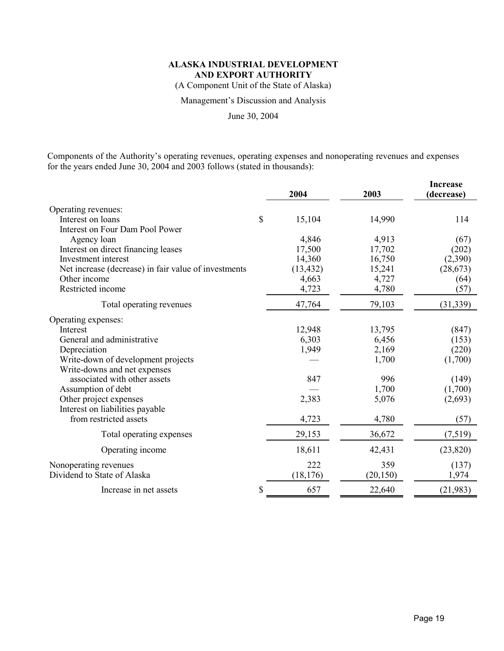(A Component Unit of the State of Alaska)

Management's Discussion and Analysis

June 30, 2004

Components of the Authority's operating revenues, operating expenses and nonoperating revenues and expenses for the years ended June 30, 2004 and 2003 follows (stated in thousands):

|                                                      | 2004         | 2003      | <b>Increase</b><br>(decrease) |
|------------------------------------------------------|--------------|-----------|-------------------------------|
| Operating revenues:                                  |              |           |                               |
| Interest on loans                                    | \$<br>15,104 | 14,990    | 114                           |
| Interest on Four Dam Pool Power                      |              |           |                               |
| Agency loan                                          | 4,846        | 4,913     | (67)                          |
| Interest on direct financing leases                  | 17,500       | 17,702    | (202)                         |
| Investment interest                                  | 14,360       | 16,750    | (2,390)                       |
| Net increase (decrease) in fair value of investments | (13, 432)    | 15,241    | (28, 673)                     |
| Other income                                         | 4,663        | 4,727     | (64)                          |
| Restricted income                                    | 4,723        | 4,780     | (57)                          |
| Total operating revenues                             | 47,764       | 79,103    | (31, 339)                     |
| Operating expenses:                                  |              |           |                               |
| Interest                                             | 12,948       | 13,795    | (847)                         |
| General and administrative                           | 6,303        | 6,456     | (153)                         |
| Depreciation                                         | 1,949        | 2,169     | (220)                         |
| Write-down of development projects                   |              | 1,700     | (1,700)                       |
| Write-downs and net expenses                         |              |           |                               |
| associated with other assets                         | 847          | 996       | (149)                         |
| Assumption of debt                                   |              | 1,700     | (1,700)                       |
| Other project expenses                               | 2,383        | 5,076     | (2,693)                       |
| Interest on liabilities payable                      |              |           |                               |
| from restricted assets                               | 4,723        | 4,780     | (57)                          |
| Total operating expenses                             | 29,153       | 36,672    | (7,519)                       |
| Operating income                                     | 18,611       | 42,431    | (23, 820)                     |
| Nonoperating revenues                                | 222          | 359       | (137)                         |
| Dividend to State of Alaska                          | (18, 176)    | (20, 150) | 1,974                         |
| Increase in net assets                               | \$<br>657    | 22,640    | (21, 983)                     |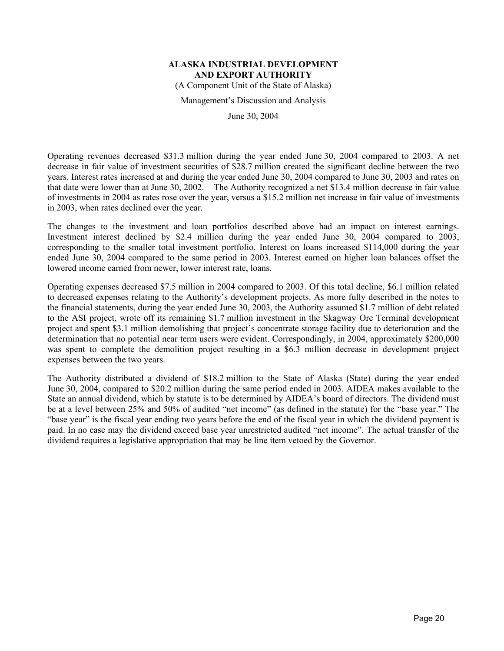(A Component Unit of the State of Alaska)

Management's Discussion and Analysis

June 30, 2004

Operating revenues decreased \$31.3 million during the year ended June 30, 2004 compared to 2003. A net decrease in fair value of investment securities of \$28.7 million created the significant decline between the two years. Interest rates increased at and during the year ended June 30, 2004 compared to June 30, 2003 and rates on that date were lower than at June 30, 2002. The Authority recognized a net \$13.4 million decrease in fair value of investments in 2004 as rates rose over the year, versus a \$15.2 million net increase in fair value of investments in 2003, when rates declined over the year.

The changes to the investment and loan portfolios described above had an impact on interest earnings. Investment interest declined by \$2.4 million during the year ended June 30, 2004 compared to 2003, corresponding to the smaller total investment portfolio. Interest on loans increased \$114,000 during the year ended June 30, 2004 compared to the same period in 2003. Interest earned on higher loan balances offset the lowered income earned from newer, lower interest rate, loans.

Operating expenses decreased \$7.5 million in 2004 compared to 2003. Of this total decline, \$6.1 million related to decreased expenses relating to the Authority's development projects. As more fully described in the notes to the financial statements, during the year ended June 30, 2003, the Authority assumed \$1.7 million of debt related to the ASI project, wrote off its remaining \$1.7 million investment in the Skagway Ore Terminal development project and spent \$3.1 million demolishing that project's concentrate storage facility due to deterioration and the determination that no potential near term users were evident. Correspondingly, in 2004, approximately \$200,000 was spent to complete the demolition project resulting in a \$6.3 million decrease in development project expenses between the two years.

The Authority distributed a dividend of \$18.2 million to the State of Alaska (State) during the year ended June 30, 2004, compared to \$20.2 million during the same period ended in 2003. AIDEA makes available to the State an annual dividend, which by statute is to be determined by AIDEA's board of directors. The dividend must be at a level between 25% and 50% of audited "net income" (as defined in the statute) for the "base year." The "base year" is the fiscal year ending two years before the end of the fiscal year in which the dividend payment is paid. In no case may the dividend exceed base year unrestricted audited "net income". The actual transfer of the dividend requires a legislative appropriation that may be line item vetoed by the Governor.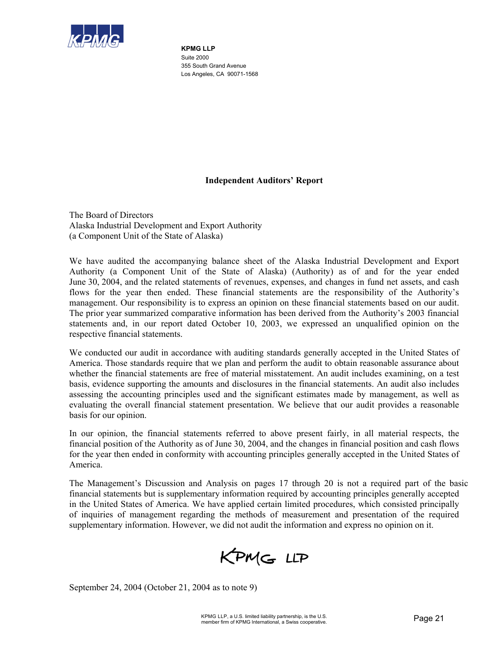

**KPMG LLP**  Suite 2000 355 South Grand Avenue Los Angeles, CA 90071-1568

# **Independent Auditors' Report**

The Board of Directors Alaska Industrial Development and Export Authority (a Component Unit of the State of Alaska)

We have audited the accompanying balance sheet of the Alaska Industrial Development and Export Authority (a Component Unit of the State of Alaska) (Authority) as of and for the year ended June 30, 2004, and the related statements of revenues, expenses, and changes in fund net assets, and cash flows for the year then ended. These financial statements are the responsibility of the Authority's management. Our responsibility is to express an opinion on these financial statements based on our audit. The prior year summarized comparative information has been derived from the Authority's 2003 financial statements and, in our report dated October 10, 2003, we expressed an unqualified opinion on the respective financial statements.

We conducted our audit in accordance with auditing standards generally accepted in the United States of America. Those standards require that we plan and perform the audit to obtain reasonable assurance about whether the financial statements are free of material misstatement. An audit includes examining, on a test basis, evidence supporting the amounts and disclosures in the financial statements. An audit also includes assessing the accounting principles used and the significant estimates made by management, as well as evaluating the overall financial statement presentation. We believe that our audit provides a reasonable basis for our opinion.

In our opinion, the financial statements referred to above present fairly, in all material respects, the financial position of the Authority as of June 30, 2004, and the changes in financial position and cash flows for the year then ended in conformity with accounting principles generally accepted in the United States of America.

The Management's Discussion and Analysis on pages 17 through 20 is not a required part of the basic financial statements but is supplementary information required by accounting principles generally accepted in the United States of America. We have applied certain limited procedures, which consisted principally of inquiries of management regarding the methods of measurement and presentation of the required supplementary information. However, we did not audit the information and express no opinion on it.



September 24, 2004 (October 21, 2004 as to note 9)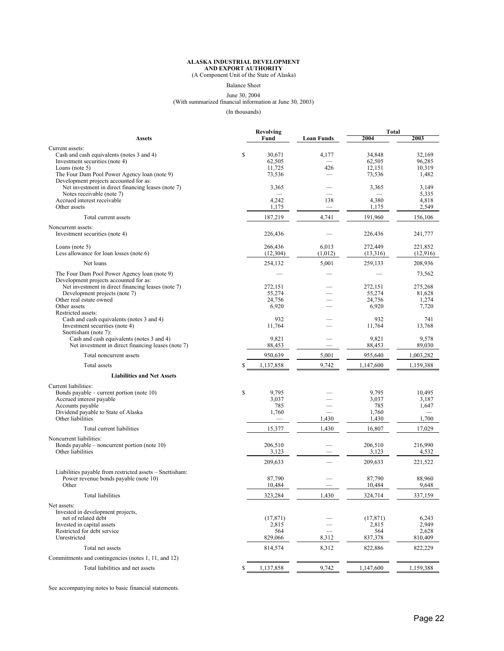# **ALASKA INDUSTRIAL DEVELOPMENT AND EXPORT AUTHORITY** (A Component Unit of the State of Alaska)

Balance Sheet

# June 30, 2004 (With summarized financial information at June 30, 2003)

(In thousands)

| Current assets:<br>\$<br>4,177<br>34,848<br>Cash and cash equivalents (notes 3 and 4)<br>30,671<br>32,169<br>Investment securities (note 4)<br>62,505<br>62,505<br>96,285<br>11,725<br>12,151<br>10,319<br>Loans (note $5$ )<br>426<br>The Four Dam Pool Power Agency loan (note 9)<br>73,536<br>73,536<br>1,482<br>Development projects accounted for as:<br>Net investment in direct financing leases (note 7)<br>3,149<br>3,365<br>3,365<br>Notes receivable (note 7)<br>5,335<br>Accrued interest receivable<br>4,380<br>4,242<br>138<br>4,818<br>1,175<br>Other assets<br>1,175<br>2,549<br>4,741<br>Total current assets<br>187,219<br>191,960<br>156,106<br>Noncurrent assets:<br>Investment securities (note 4)<br>226,436<br>226,436<br>241,777<br>6,013<br>272,449<br>266,436<br>221,852<br>Loans (note $5$ )<br>(12,916)<br>Less allowance for loan losses (note 6)<br>(12, 304)<br>(1,012)<br>(13,316)<br>5,001<br>259,133<br>208,936<br>Net loans<br>254,132<br>The Four Dam Pool Power Agency loan (note 9)<br>73,562<br>Development projects accounted for as:<br>Net investment in direct financing leases (note 7)<br>272,151<br>272,151<br>275,268<br>55,274<br>55,274<br>Development projects (note 7)<br>81,628<br>Other real estate owned<br>24,756<br>24,756<br>1,274<br>Other assets<br>6,920<br>6,920<br>7,720<br>Restricted assets:<br>932<br>Cash and cash equivalents (notes 3 and 4)<br>932<br>741<br>Investment securities (note 4)<br>11,764<br>11,764<br>13,768<br>Snettisham (note 7):<br>Cash and cash equivalents (notes 3 and 4)<br>9,821<br>9,821<br>9,578<br>Net investment in direct financing leases (note 7)<br>88,453<br>88,453<br>89,030<br>5,001<br>955,640<br>Total noncurrent assets<br>950,639<br>1,003,282<br>9,742<br>Total assets<br>1,137,858<br>1,147,600<br>1,159,388<br>S<br><b>Liabilities and Net Assets</b><br>Current liabilities:<br>Bonds payable – current portion (note $10$ )<br>\$<br>9,795<br>9,795<br>10,495<br>3,037<br>3,037<br>3,187<br>Accrued interest payable<br>Accounts payable<br>785<br>785<br>1,647<br>Dividend payable to State of Alaska<br>1,760<br>1,760<br>Other liabilities<br>1,430<br>1,700<br>1,430<br>15,377<br>1,430<br>16,807<br>17,029<br>Total current liabilities<br>Noncurrent liabilities:<br>Bonds payable – noncurrent portion (note $10$ )<br>206,510<br>206,510<br>216,990<br>Other liabilities<br>3,123<br>3,123<br>4,532<br>209,633<br>209,633<br>221,522<br>Liabilities payable from restricted assets - Snettisham:<br>Power revenue bonds payable (note 10)<br>87,790<br>87,790<br>88,960<br>Other<br>10,484<br>10,484<br>9,648<br>323,284<br>1.430<br>337,159<br>324,714<br>Total liabilities<br>Net assets:<br>Invested in development projects,<br>net of related debt<br>(17, 871)<br>(17, 871)<br>6,243<br>2,815<br>2,949<br>Invested in capital assets<br>2,815<br>Restricted for debt service<br>2,628<br>564<br>564<br>Unrestricted<br>829,066<br>8,312<br>837,378<br>810,409<br>8,312<br>Total net assets<br>814,574<br>822,886<br>822,229<br>Commitments and contingencies (notes 1, 11, and 12)<br>Total liabilities and net assets<br>\$<br>1,137,858<br>9,742<br>1,147,600<br>1,159,388 |               | <b>Revolving</b> |                   | <b>Total</b> |      |
|------------------------------------------------------------------------------------------------------------------------------------------------------------------------------------------------------------------------------------------------------------------------------------------------------------------------------------------------------------------------------------------------------------------------------------------------------------------------------------------------------------------------------------------------------------------------------------------------------------------------------------------------------------------------------------------------------------------------------------------------------------------------------------------------------------------------------------------------------------------------------------------------------------------------------------------------------------------------------------------------------------------------------------------------------------------------------------------------------------------------------------------------------------------------------------------------------------------------------------------------------------------------------------------------------------------------------------------------------------------------------------------------------------------------------------------------------------------------------------------------------------------------------------------------------------------------------------------------------------------------------------------------------------------------------------------------------------------------------------------------------------------------------------------------------------------------------------------------------------------------------------------------------------------------------------------------------------------------------------------------------------------------------------------------------------------------------------------------------------------------------------------------------------------------------------------------------------------------------------------------------------------------------------------------------------------------------------------------------------------------------------------------------------------------------------------------------------------------------------------------------------------------------------------------------------------------------------------------------------------------------------------------------------------------------------------------------------------------------------------------------------------------------------------------------------------------------------------------------------------------------------------------------------------------------------------------------------------------------------------------------------------------------------------------------------------------------------------------------------------------------------------------------------------------------------------------------------|---------------|------------------|-------------------|--------------|------|
|                                                                                                                                                                                                                                                                                                                                                                                                                                                                                                                                                                                                                                                                                                                                                                                                                                                                                                                                                                                                                                                                                                                                                                                                                                                                                                                                                                                                                                                                                                                                                                                                                                                                                                                                                                                                                                                                                                                                                                                                                                                                                                                                                                                                                                                                                                                                                                                                                                                                                                                                                                                                                                                                                                                                                                                                                                                                                                                                                                                                                                                                                                                                                                                                            | <b>Assets</b> | Fund             | <b>Loan Funds</b> | 2004         | 2003 |
|                                                                                                                                                                                                                                                                                                                                                                                                                                                                                                                                                                                                                                                                                                                                                                                                                                                                                                                                                                                                                                                                                                                                                                                                                                                                                                                                                                                                                                                                                                                                                                                                                                                                                                                                                                                                                                                                                                                                                                                                                                                                                                                                                                                                                                                                                                                                                                                                                                                                                                                                                                                                                                                                                                                                                                                                                                                                                                                                                                                                                                                                                                                                                                                                            |               |                  |                   |              |      |
|                                                                                                                                                                                                                                                                                                                                                                                                                                                                                                                                                                                                                                                                                                                                                                                                                                                                                                                                                                                                                                                                                                                                                                                                                                                                                                                                                                                                                                                                                                                                                                                                                                                                                                                                                                                                                                                                                                                                                                                                                                                                                                                                                                                                                                                                                                                                                                                                                                                                                                                                                                                                                                                                                                                                                                                                                                                                                                                                                                                                                                                                                                                                                                                                            |               |                  |                   |              |      |
|                                                                                                                                                                                                                                                                                                                                                                                                                                                                                                                                                                                                                                                                                                                                                                                                                                                                                                                                                                                                                                                                                                                                                                                                                                                                                                                                                                                                                                                                                                                                                                                                                                                                                                                                                                                                                                                                                                                                                                                                                                                                                                                                                                                                                                                                                                                                                                                                                                                                                                                                                                                                                                                                                                                                                                                                                                                                                                                                                                                                                                                                                                                                                                                                            |               |                  |                   |              |      |
|                                                                                                                                                                                                                                                                                                                                                                                                                                                                                                                                                                                                                                                                                                                                                                                                                                                                                                                                                                                                                                                                                                                                                                                                                                                                                                                                                                                                                                                                                                                                                                                                                                                                                                                                                                                                                                                                                                                                                                                                                                                                                                                                                                                                                                                                                                                                                                                                                                                                                                                                                                                                                                                                                                                                                                                                                                                                                                                                                                                                                                                                                                                                                                                                            |               |                  |                   |              |      |
|                                                                                                                                                                                                                                                                                                                                                                                                                                                                                                                                                                                                                                                                                                                                                                                                                                                                                                                                                                                                                                                                                                                                                                                                                                                                                                                                                                                                                                                                                                                                                                                                                                                                                                                                                                                                                                                                                                                                                                                                                                                                                                                                                                                                                                                                                                                                                                                                                                                                                                                                                                                                                                                                                                                                                                                                                                                                                                                                                                                                                                                                                                                                                                                                            |               |                  |                   |              |      |
|                                                                                                                                                                                                                                                                                                                                                                                                                                                                                                                                                                                                                                                                                                                                                                                                                                                                                                                                                                                                                                                                                                                                                                                                                                                                                                                                                                                                                                                                                                                                                                                                                                                                                                                                                                                                                                                                                                                                                                                                                                                                                                                                                                                                                                                                                                                                                                                                                                                                                                                                                                                                                                                                                                                                                                                                                                                                                                                                                                                                                                                                                                                                                                                                            |               |                  |                   |              |      |
|                                                                                                                                                                                                                                                                                                                                                                                                                                                                                                                                                                                                                                                                                                                                                                                                                                                                                                                                                                                                                                                                                                                                                                                                                                                                                                                                                                                                                                                                                                                                                                                                                                                                                                                                                                                                                                                                                                                                                                                                                                                                                                                                                                                                                                                                                                                                                                                                                                                                                                                                                                                                                                                                                                                                                                                                                                                                                                                                                                                                                                                                                                                                                                                                            |               |                  |                   |              |      |
|                                                                                                                                                                                                                                                                                                                                                                                                                                                                                                                                                                                                                                                                                                                                                                                                                                                                                                                                                                                                                                                                                                                                                                                                                                                                                                                                                                                                                                                                                                                                                                                                                                                                                                                                                                                                                                                                                                                                                                                                                                                                                                                                                                                                                                                                                                                                                                                                                                                                                                                                                                                                                                                                                                                                                                                                                                                                                                                                                                                                                                                                                                                                                                                                            |               |                  |                   |              |      |
|                                                                                                                                                                                                                                                                                                                                                                                                                                                                                                                                                                                                                                                                                                                                                                                                                                                                                                                                                                                                                                                                                                                                                                                                                                                                                                                                                                                                                                                                                                                                                                                                                                                                                                                                                                                                                                                                                                                                                                                                                                                                                                                                                                                                                                                                                                                                                                                                                                                                                                                                                                                                                                                                                                                                                                                                                                                                                                                                                                                                                                                                                                                                                                                                            |               |                  |                   |              |      |
|                                                                                                                                                                                                                                                                                                                                                                                                                                                                                                                                                                                                                                                                                                                                                                                                                                                                                                                                                                                                                                                                                                                                                                                                                                                                                                                                                                                                                                                                                                                                                                                                                                                                                                                                                                                                                                                                                                                                                                                                                                                                                                                                                                                                                                                                                                                                                                                                                                                                                                                                                                                                                                                                                                                                                                                                                                                                                                                                                                                                                                                                                                                                                                                                            |               |                  |                   |              |      |
|                                                                                                                                                                                                                                                                                                                                                                                                                                                                                                                                                                                                                                                                                                                                                                                                                                                                                                                                                                                                                                                                                                                                                                                                                                                                                                                                                                                                                                                                                                                                                                                                                                                                                                                                                                                                                                                                                                                                                                                                                                                                                                                                                                                                                                                                                                                                                                                                                                                                                                                                                                                                                                                                                                                                                                                                                                                                                                                                                                                                                                                                                                                                                                                                            |               |                  |                   |              |      |
|                                                                                                                                                                                                                                                                                                                                                                                                                                                                                                                                                                                                                                                                                                                                                                                                                                                                                                                                                                                                                                                                                                                                                                                                                                                                                                                                                                                                                                                                                                                                                                                                                                                                                                                                                                                                                                                                                                                                                                                                                                                                                                                                                                                                                                                                                                                                                                                                                                                                                                                                                                                                                                                                                                                                                                                                                                                                                                                                                                                                                                                                                                                                                                                                            |               |                  |                   |              |      |
|                                                                                                                                                                                                                                                                                                                                                                                                                                                                                                                                                                                                                                                                                                                                                                                                                                                                                                                                                                                                                                                                                                                                                                                                                                                                                                                                                                                                                                                                                                                                                                                                                                                                                                                                                                                                                                                                                                                                                                                                                                                                                                                                                                                                                                                                                                                                                                                                                                                                                                                                                                                                                                                                                                                                                                                                                                                                                                                                                                                                                                                                                                                                                                                                            |               |                  |                   |              |      |
|                                                                                                                                                                                                                                                                                                                                                                                                                                                                                                                                                                                                                                                                                                                                                                                                                                                                                                                                                                                                                                                                                                                                                                                                                                                                                                                                                                                                                                                                                                                                                                                                                                                                                                                                                                                                                                                                                                                                                                                                                                                                                                                                                                                                                                                                                                                                                                                                                                                                                                                                                                                                                                                                                                                                                                                                                                                                                                                                                                                                                                                                                                                                                                                                            |               |                  |                   |              |      |
|                                                                                                                                                                                                                                                                                                                                                                                                                                                                                                                                                                                                                                                                                                                                                                                                                                                                                                                                                                                                                                                                                                                                                                                                                                                                                                                                                                                                                                                                                                                                                                                                                                                                                                                                                                                                                                                                                                                                                                                                                                                                                                                                                                                                                                                                                                                                                                                                                                                                                                                                                                                                                                                                                                                                                                                                                                                                                                                                                                                                                                                                                                                                                                                                            |               |                  |                   |              |      |
|                                                                                                                                                                                                                                                                                                                                                                                                                                                                                                                                                                                                                                                                                                                                                                                                                                                                                                                                                                                                                                                                                                                                                                                                                                                                                                                                                                                                                                                                                                                                                                                                                                                                                                                                                                                                                                                                                                                                                                                                                                                                                                                                                                                                                                                                                                                                                                                                                                                                                                                                                                                                                                                                                                                                                                                                                                                                                                                                                                                                                                                                                                                                                                                                            |               |                  |                   |              |      |
|                                                                                                                                                                                                                                                                                                                                                                                                                                                                                                                                                                                                                                                                                                                                                                                                                                                                                                                                                                                                                                                                                                                                                                                                                                                                                                                                                                                                                                                                                                                                                                                                                                                                                                                                                                                                                                                                                                                                                                                                                                                                                                                                                                                                                                                                                                                                                                                                                                                                                                                                                                                                                                                                                                                                                                                                                                                                                                                                                                                                                                                                                                                                                                                                            |               |                  |                   |              |      |
|                                                                                                                                                                                                                                                                                                                                                                                                                                                                                                                                                                                                                                                                                                                                                                                                                                                                                                                                                                                                                                                                                                                                                                                                                                                                                                                                                                                                                                                                                                                                                                                                                                                                                                                                                                                                                                                                                                                                                                                                                                                                                                                                                                                                                                                                                                                                                                                                                                                                                                                                                                                                                                                                                                                                                                                                                                                                                                                                                                                                                                                                                                                                                                                                            |               |                  |                   |              |      |
|                                                                                                                                                                                                                                                                                                                                                                                                                                                                                                                                                                                                                                                                                                                                                                                                                                                                                                                                                                                                                                                                                                                                                                                                                                                                                                                                                                                                                                                                                                                                                                                                                                                                                                                                                                                                                                                                                                                                                                                                                                                                                                                                                                                                                                                                                                                                                                                                                                                                                                                                                                                                                                                                                                                                                                                                                                                                                                                                                                                                                                                                                                                                                                                                            |               |                  |                   |              |      |
|                                                                                                                                                                                                                                                                                                                                                                                                                                                                                                                                                                                                                                                                                                                                                                                                                                                                                                                                                                                                                                                                                                                                                                                                                                                                                                                                                                                                                                                                                                                                                                                                                                                                                                                                                                                                                                                                                                                                                                                                                                                                                                                                                                                                                                                                                                                                                                                                                                                                                                                                                                                                                                                                                                                                                                                                                                                                                                                                                                                                                                                                                                                                                                                                            |               |                  |                   |              |      |
|                                                                                                                                                                                                                                                                                                                                                                                                                                                                                                                                                                                                                                                                                                                                                                                                                                                                                                                                                                                                                                                                                                                                                                                                                                                                                                                                                                                                                                                                                                                                                                                                                                                                                                                                                                                                                                                                                                                                                                                                                                                                                                                                                                                                                                                                                                                                                                                                                                                                                                                                                                                                                                                                                                                                                                                                                                                                                                                                                                                                                                                                                                                                                                                                            |               |                  |                   |              |      |
|                                                                                                                                                                                                                                                                                                                                                                                                                                                                                                                                                                                                                                                                                                                                                                                                                                                                                                                                                                                                                                                                                                                                                                                                                                                                                                                                                                                                                                                                                                                                                                                                                                                                                                                                                                                                                                                                                                                                                                                                                                                                                                                                                                                                                                                                                                                                                                                                                                                                                                                                                                                                                                                                                                                                                                                                                                                                                                                                                                                                                                                                                                                                                                                                            |               |                  |                   |              |      |
|                                                                                                                                                                                                                                                                                                                                                                                                                                                                                                                                                                                                                                                                                                                                                                                                                                                                                                                                                                                                                                                                                                                                                                                                                                                                                                                                                                                                                                                                                                                                                                                                                                                                                                                                                                                                                                                                                                                                                                                                                                                                                                                                                                                                                                                                                                                                                                                                                                                                                                                                                                                                                                                                                                                                                                                                                                                                                                                                                                                                                                                                                                                                                                                                            |               |                  |                   |              |      |
|                                                                                                                                                                                                                                                                                                                                                                                                                                                                                                                                                                                                                                                                                                                                                                                                                                                                                                                                                                                                                                                                                                                                                                                                                                                                                                                                                                                                                                                                                                                                                                                                                                                                                                                                                                                                                                                                                                                                                                                                                                                                                                                                                                                                                                                                                                                                                                                                                                                                                                                                                                                                                                                                                                                                                                                                                                                                                                                                                                                                                                                                                                                                                                                                            |               |                  |                   |              |      |
|                                                                                                                                                                                                                                                                                                                                                                                                                                                                                                                                                                                                                                                                                                                                                                                                                                                                                                                                                                                                                                                                                                                                                                                                                                                                                                                                                                                                                                                                                                                                                                                                                                                                                                                                                                                                                                                                                                                                                                                                                                                                                                                                                                                                                                                                                                                                                                                                                                                                                                                                                                                                                                                                                                                                                                                                                                                                                                                                                                                                                                                                                                                                                                                                            |               |                  |                   |              |      |
|                                                                                                                                                                                                                                                                                                                                                                                                                                                                                                                                                                                                                                                                                                                                                                                                                                                                                                                                                                                                                                                                                                                                                                                                                                                                                                                                                                                                                                                                                                                                                                                                                                                                                                                                                                                                                                                                                                                                                                                                                                                                                                                                                                                                                                                                                                                                                                                                                                                                                                                                                                                                                                                                                                                                                                                                                                                                                                                                                                                                                                                                                                                                                                                                            |               |                  |                   |              |      |
|                                                                                                                                                                                                                                                                                                                                                                                                                                                                                                                                                                                                                                                                                                                                                                                                                                                                                                                                                                                                                                                                                                                                                                                                                                                                                                                                                                                                                                                                                                                                                                                                                                                                                                                                                                                                                                                                                                                                                                                                                                                                                                                                                                                                                                                                                                                                                                                                                                                                                                                                                                                                                                                                                                                                                                                                                                                                                                                                                                                                                                                                                                                                                                                                            |               |                  |                   |              |      |
|                                                                                                                                                                                                                                                                                                                                                                                                                                                                                                                                                                                                                                                                                                                                                                                                                                                                                                                                                                                                                                                                                                                                                                                                                                                                                                                                                                                                                                                                                                                                                                                                                                                                                                                                                                                                                                                                                                                                                                                                                                                                                                                                                                                                                                                                                                                                                                                                                                                                                                                                                                                                                                                                                                                                                                                                                                                                                                                                                                                                                                                                                                                                                                                                            |               |                  |                   |              |      |
|                                                                                                                                                                                                                                                                                                                                                                                                                                                                                                                                                                                                                                                                                                                                                                                                                                                                                                                                                                                                                                                                                                                                                                                                                                                                                                                                                                                                                                                                                                                                                                                                                                                                                                                                                                                                                                                                                                                                                                                                                                                                                                                                                                                                                                                                                                                                                                                                                                                                                                                                                                                                                                                                                                                                                                                                                                                                                                                                                                                                                                                                                                                                                                                                            |               |                  |                   |              |      |
|                                                                                                                                                                                                                                                                                                                                                                                                                                                                                                                                                                                                                                                                                                                                                                                                                                                                                                                                                                                                                                                                                                                                                                                                                                                                                                                                                                                                                                                                                                                                                                                                                                                                                                                                                                                                                                                                                                                                                                                                                                                                                                                                                                                                                                                                                                                                                                                                                                                                                                                                                                                                                                                                                                                                                                                                                                                                                                                                                                                                                                                                                                                                                                                                            |               |                  |                   |              |      |
|                                                                                                                                                                                                                                                                                                                                                                                                                                                                                                                                                                                                                                                                                                                                                                                                                                                                                                                                                                                                                                                                                                                                                                                                                                                                                                                                                                                                                                                                                                                                                                                                                                                                                                                                                                                                                                                                                                                                                                                                                                                                                                                                                                                                                                                                                                                                                                                                                                                                                                                                                                                                                                                                                                                                                                                                                                                                                                                                                                                                                                                                                                                                                                                                            |               |                  |                   |              |      |
|                                                                                                                                                                                                                                                                                                                                                                                                                                                                                                                                                                                                                                                                                                                                                                                                                                                                                                                                                                                                                                                                                                                                                                                                                                                                                                                                                                                                                                                                                                                                                                                                                                                                                                                                                                                                                                                                                                                                                                                                                                                                                                                                                                                                                                                                                                                                                                                                                                                                                                                                                                                                                                                                                                                                                                                                                                                                                                                                                                                                                                                                                                                                                                                                            |               |                  |                   |              |      |
|                                                                                                                                                                                                                                                                                                                                                                                                                                                                                                                                                                                                                                                                                                                                                                                                                                                                                                                                                                                                                                                                                                                                                                                                                                                                                                                                                                                                                                                                                                                                                                                                                                                                                                                                                                                                                                                                                                                                                                                                                                                                                                                                                                                                                                                                                                                                                                                                                                                                                                                                                                                                                                                                                                                                                                                                                                                                                                                                                                                                                                                                                                                                                                                                            |               |                  |                   |              |      |
|                                                                                                                                                                                                                                                                                                                                                                                                                                                                                                                                                                                                                                                                                                                                                                                                                                                                                                                                                                                                                                                                                                                                                                                                                                                                                                                                                                                                                                                                                                                                                                                                                                                                                                                                                                                                                                                                                                                                                                                                                                                                                                                                                                                                                                                                                                                                                                                                                                                                                                                                                                                                                                                                                                                                                                                                                                                                                                                                                                                                                                                                                                                                                                                                            |               |                  |                   |              |      |
|                                                                                                                                                                                                                                                                                                                                                                                                                                                                                                                                                                                                                                                                                                                                                                                                                                                                                                                                                                                                                                                                                                                                                                                                                                                                                                                                                                                                                                                                                                                                                                                                                                                                                                                                                                                                                                                                                                                                                                                                                                                                                                                                                                                                                                                                                                                                                                                                                                                                                                                                                                                                                                                                                                                                                                                                                                                                                                                                                                                                                                                                                                                                                                                                            |               |                  |                   |              |      |
|                                                                                                                                                                                                                                                                                                                                                                                                                                                                                                                                                                                                                                                                                                                                                                                                                                                                                                                                                                                                                                                                                                                                                                                                                                                                                                                                                                                                                                                                                                                                                                                                                                                                                                                                                                                                                                                                                                                                                                                                                                                                                                                                                                                                                                                                                                                                                                                                                                                                                                                                                                                                                                                                                                                                                                                                                                                                                                                                                                                                                                                                                                                                                                                                            |               |                  |                   |              |      |
|                                                                                                                                                                                                                                                                                                                                                                                                                                                                                                                                                                                                                                                                                                                                                                                                                                                                                                                                                                                                                                                                                                                                                                                                                                                                                                                                                                                                                                                                                                                                                                                                                                                                                                                                                                                                                                                                                                                                                                                                                                                                                                                                                                                                                                                                                                                                                                                                                                                                                                                                                                                                                                                                                                                                                                                                                                                                                                                                                                                                                                                                                                                                                                                                            |               |                  |                   |              |      |
|                                                                                                                                                                                                                                                                                                                                                                                                                                                                                                                                                                                                                                                                                                                                                                                                                                                                                                                                                                                                                                                                                                                                                                                                                                                                                                                                                                                                                                                                                                                                                                                                                                                                                                                                                                                                                                                                                                                                                                                                                                                                                                                                                                                                                                                                                                                                                                                                                                                                                                                                                                                                                                                                                                                                                                                                                                                                                                                                                                                                                                                                                                                                                                                                            |               |                  |                   |              |      |
|                                                                                                                                                                                                                                                                                                                                                                                                                                                                                                                                                                                                                                                                                                                                                                                                                                                                                                                                                                                                                                                                                                                                                                                                                                                                                                                                                                                                                                                                                                                                                                                                                                                                                                                                                                                                                                                                                                                                                                                                                                                                                                                                                                                                                                                                                                                                                                                                                                                                                                                                                                                                                                                                                                                                                                                                                                                                                                                                                                                                                                                                                                                                                                                                            |               |                  |                   |              |      |
|                                                                                                                                                                                                                                                                                                                                                                                                                                                                                                                                                                                                                                                                                                                                                                                                                                                                                                                                                                                                                                                                                                                                                                                                                                                                                                                                                                                                                                                                                                                                                                                                                                                                                                                                                                                                                                                                                                                                                                                                                                                                                                                                                                                                                                                                                                                                                                                                                                                                                                                                                                                                                                                                                                                                                                                                                                                                                                                                                                                                                                                                                                                                                                                                            |               |                  |                   |              |      |
|                                                                                                                                                                                                                                                                                                                                                                                                                                                                                                                                                                                                                                                                                                                                                                                                                                                                                                                                                                                                                                                                                                                                                                                                                                                                                                                                                                                                                                                                                                                                                                                                                                                                                                                                                                                                                                                                                                                                                                                                                                                                                                                                                                                                                                                                                                                                                                                                                                                                                                                                                                                                                                                                                                                                                                                                                                                                                                                                                                                                                                                                                                                                                                                                            |               |                  |                   |              |      |
|                                                                                                                                                                                                                                                                                                                                                                                                                                                                                                                                                                                                                                                                                                                                                                                                                                                                                                                                                                                                                                                                                                                                                                                                                                                                                                                                                                                                                                                                                                                                                                                                                                                                                                                                                                                                                                                                                                                                                                                                                                                                                                                                                                                                                                                                                                                                                                                                                                                                                                                                                                                                                                                                                                                                                                                                                                                                                                                                                                                                                                                                                                                                                                                                            |               |                  |                   |              |      |
|                                                                                                                                                                                                                                                                                                                                                                                                                                                                                                                                                                                                                                                                                                                                                                                                                                                                                                                                                                                                                                                                                                                                                                                                                                                                                                                                                                                                                                                                                                                                                                                                                                                                                                                                                                                                                                                                                                                                                                                                                                                                                                                                                                                                                                                                                                                                                                                                                                                                                                                                                                                                                                                                                                                                                                                                                                                                                                                                                                                                                                                                                                                                                                                                            |               |                  |                   |              |      |
|                                                                                                                                                                                                                                                                                                                                                                                                                                                                                                                                                                                                                                                                                                                                                                                                                                                                                                                                                                                                                                                                                                                                                                                                                                                                                                                                                                                                                                                                                                                                                                                                                                                                                                                                                                                                                                                                                                                                                                                                                                                                                                                                                                                                                                                                                                                                                                                                                                                                                                                                                                                                                                                                                                                                                                                                                                                                                                                                                                                                                                                                                                                                                                                                            |               |                  |                   |              |      |
|                                                                                                                                                                                                                                                                                                                                                                                                                                                                                                                                                                                                                                                                                                                                                                                                                                                                                                                                                                                                                                                                                                                                                                                                                                                                                                                                                                                                                                                                                                                                                                                                                                                                                                                                                                                                                                                                                                                                                                                                                                                                                                                                                                                                                                                                                                                                                                                                                                                                                                                                                                                                                                                                                                                                                                                                                                                                                                                                                                                                                                                                                                                                                                                                            |               |                  |                   |              |      |
|                                                                                                                                                                                                                                                                                                                                                                                                                                                                                                                                                                                                                                                                                                                                                                                                                                                                                                                                                                                                                                                                                                                                                                                                                                                                                                                                                                                                                                                                                                                                                                                                                                                                                                                                                                                                                                                                                                                                                                                                                                                                                                                                                                                                                                                                                                                                                                                                                                                                                                                                                                                                                                                                                                                                                                                                                                                                                                                                                                                                                                                                                                                                                                                                            |               |                  |                   |              |      |
|                                                                                                                                                                                                                                                                                                                                                                                                                                                                                                                                                                                                                                                                                                                                                                                                                                                                                                                                                                                                                                                                                                                                                                                                                                                                                                                                                                                                                                                                                                                                                                                                                                                                                                                                                                                                                                                                                                                                                                                                                                                                                                                                                                                                                                                                                                                                                                                                                                                                                                                                                                                                                                                                                                                                                                                                                                                                                                                                                                                                                                                                                                                                                                                                            |               |                  |                   |              |      |
|                                                                                                                                                                                                                                                                                                                                                                                                                                                                                                                                                                                                                                                                                                                                                                                                                                                                                                                                                                                                                                                                                                                                                                                                                                                                                                                                                                                                                                                                                                                                                                                                                                                                                                                                                                                                                                                                                                                                                                                                                                                                                                                                                                                                                                                                                                                                                                                                                                                                                                                                                                                                                                                                                                                                                                                                                                                                                                                                                                                                                                                                                                                                                                                                            |               |                  |                   |              |      |
|                                                                                                                                                                                                                                                                                                                                                                                                                                                                                                                                                                                                                                                                                                                                                                                                                                                                                                                                                                                                                                                                                                                                                                                                                                                                                                                                                                                                                                                                                                                                                                                                                                                                                                                                                                                                                                                                                                                                                                                                                                                                                                                                                                                                                                                                                                                                                                                                                                                                                                                                                                                                                                                                                                                                                                                                                                                                                                                                                                                                                                                                                                                                                                                                            |               |                  |                   |              |      |
|                                                                                                                                                                                                                                                                                                                                                                                                                                                                                                                                                                                                                                                                                                                                                                                                                                                                                                                                                                                                                                                                                                                                                                                                                                                                                                                                                                                                                                                                                                                                                                                                                                                                                                                                                                                                                                                                                                                                                                                                                                                                                                                                                                                                                                                                                                                                                                                                                                                                                                                                                                                                                                                                                                                                                                                                                                                                                                                                                                                                                                                                                                                                                                                                            |               |                  |                   |              |      |
|                                                                                                                                                                                                                                                                                                                                                                                                                                                                                                                                                                                                                                                                                                                                                                                                                                                                                                                                                                                                                                                                                                                                                                                                                                                                                                                                                                                                                                                                                                                                                                                                                                                                                                                                                                                                                                                                                                                                                                                                                                                                                                                                                                                                                                                                                                                                                                                                                                                                                                                                                                                                                                                                                                                                                                                                                                                                                                                                                                                                                                                                                                                                                                                                            |               |                  |                   |              |      |
|                                                                                                                                                                                                                                                                                                                                                                                                                                                                                                                                                                                                                                                                                                                                                                                                                                                                                                                                                                                                                                                                                                                                                                                                                                                                                                                                                                                                                                                                                                                                                                                                                                                                                                                                                                                                                                                                                                                                                                                                                                                                                                                                                                                                                                                                                                                                                                                                                                                                                                                                                                                                                                                                                                                                                                                                                                                                                                                                                                                                                                                                                                                                                                                                            |               |                  |                   |              |      |
|                                                                                                                                                                                                                                                                                                                                                                                                                                                                                                                                                                                                                                                                                                                                                                                                                                                                                                                                                                                                                                                                                                                                                                                                                                                                                                                                                                                                                                                                                                                                                                                                                                                                                                                                                                                                                                                                                                                                                                                                                                                                                                                                                                                                                                                                                                                                                                                                                                                                                                                                                                                                                                                                                                                                                                                                                                                                                                                                                                                                                                                                                                                                                                                                            |               |                  |                   |              |      |

See accompanying notes to basic financial statements.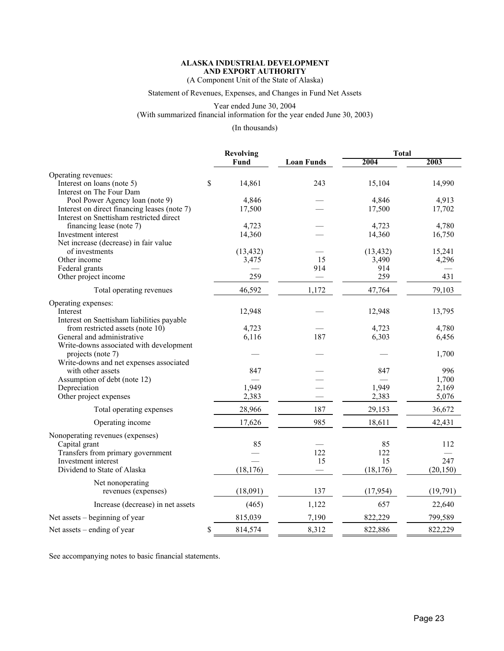(A Component Unit of the State of Alaska)

Statement of Revenues, Expenses, and Changes in Fund Net Assets

Year ended June 30, 2004 (With summarized financial information for the year ended June 30, 2003)

(In thousands)

|                                              | <b>Revolving</b> |                   | <b>Total</b> |           |
|----------------------------------------------|------------------|-------------------|--------------|-----------|
|                                              | Fund             | <b>Loan Funds</b> | 2004         | 2003      |
| Operating revenues:                          |                  |                   |              |           |
| Interest on loans (note 5)                   | \$<br>14,861     | 243               | 15,104       | 14,990    |
| Interest on The Four Dam                     |                  |                   |              |           |
| Pool Power Agency loan (note 9)              | 4,846            |                   | 4,846        | 4,913     |
| Interest on direct financing leases (note 7) | 17,500           |                   | 17,500       | 17,702    |
| Interest on Snettisham restricted direct     |                  |                   |              |           |
| financing lease (note 7)                     | 4,723            |                   | 4,723        | 4,780     |
| Investment interest                          | 14,360           |                   | 14,360       | 16,750    |
| Net increase (decrease) in fair value        |                  |                   |              |           |
| of investments                               | (13, 432)        |                   | (13, 432)    | 15,241    |
| Other income                                 | 3,475            | 15                | 3,490        | 4,296     |
| Federal grants                               |                  | 914               | 914          |           |
| Other project income                         | 259              |                   | 259          | 431       |
| Total operating revenues                     | 46,592           | 1,172             | 47,764       | 79,103    |
| Operating expenses:                          |                  |                   |              |           |
| Interest                                     | 12,948           |                   | 12,948       | 13,795    |
| Interest on Snettisham liabilities payable   |                  |                   |              |           |
| from restricted assets (note 10)             | 4,723            |                   | 4,723        | 4,780     |
| General and administrative                   | 6,116            | 187               | 6,303        | 6,456     |
| Write-downs associated with development      |                  |                   |              |           |
| projects (note 7)                            |                  |                   |              | 1,700     |
| Write-downs and net expenses associated      |                  |                   |              |           |
| with other assets                            | 847              |                   | 847          | 996       |
| Assumption of debt (note 12)                 |                  |                   |              | 1,700     |
| Depreciation                                 | 1,949            |                   | 1,949        | 2,169     |
| Other project expenses                       | 2,383            |                   | 2,383        | 5,076     |
| Total operating expenses                     | 28,966           | 187               | 29,153       | 36,672    |
|                                              |                  |                   |              |           |
| Operating income                             | 17,626           | 985               | 18,611       | 42,431    |
| Nonoperating revenues (expenses)             |                  |                   |              |           |
| Capital grant                                | 85               |                   | 85           | 112       |
| Transfers from primary government            |                  | 122               | 122          |           |
| Investment interest                          |                  | 15                | 15           | 247       |
| Dividend to State of Alaska                  | (18, 176)        |                   | (18, 176)    | (20, 150) |
| Net nonoperating                             |                  |                   |              |           |
| revenues (expenses)                          | (18,091)         | 137               | (17, 954)    | (19,791)  |
| Increase (decrease) in net assets            | (465)            | 1,122             | 657          | 22,640    |
|                                              |                  |                   |              |           |
| Net assets – beginning of year               | 815,039          | 7,190             | 822,229      | 799,589   |
| Net assets $-$ ending of year                | \$<br>814,574    | 8,312             | 822,886      | 822,229   |

See accompanying notes to basic financial statements.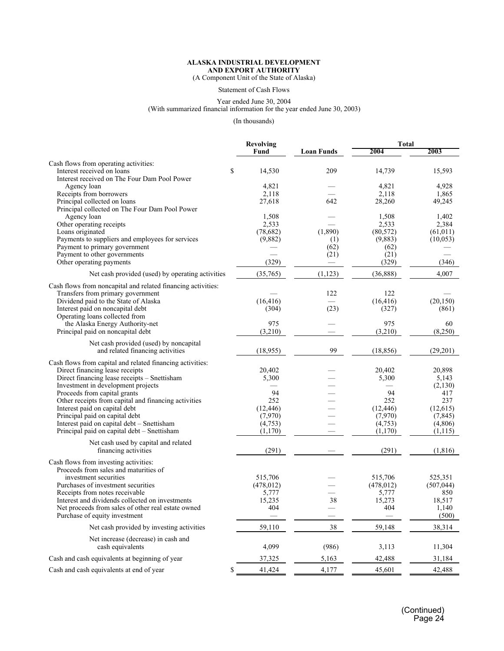(A Component Unit of the State of Alaska)

Statement of Cash Flows

#### Year ended June 30, 2004 (With summarized financial information for the year ended June 30, 2003)

(In thousands)

|                                                                                           | <b>Revolving</b>   |                          | <b>Total</b>       |                     |
|-------------------------------------------------------------------------------------------|--------------------|--------------------------|--------------------|---------------------|
|                                                                                           | Fund               | <b>Loan Funds</b>        | 2004               | 2003                |
| Cash flows from operating activities:                                                     |                    |                          |                    |                     |
| Interest received on loans                                                                | \$<br>14,530       | 209                      | 14,739             | 15,593              |
| Interest received on The Four Dam Pool Power                                              |                    |                          |                    |                     |
| Agency loan                                                                               | 4,821              |                          | 4,821              | 4,928               |
| Receipts from borrowers<br>Principal collected on loans                                   | 2,118<br>27,618    | 642                      | 2,118<br>28,260    | 1,865<br>49,245     |
| Principal collected on The Four Dam Pool Power                                            |                    |                          |                    |                     |
| Agency loan                                                                               | 1,508              |                          | 1,508              | 1,402               |
| Other operating receipts                                                                  | 2,533              |                          | 2,533              | 2,384               |
| Loans originated                                                                          | (78,682)           | (1,890)                  | (80, 572)          | (61, 011)           |
| Payments to suppliers and employees for services                                          | (9,882)            | (1)                      | (9,883)            | (10,053)            |
| Payment to primary government                                                             |                    | (62)                     | (62)               |                     |
| Payment to other governments                                                              |                    | (21)                     | (21)               |                     |
| Other operating payments                                                                  | (329)              | $\overline{\phantom{0}}$ | (329)              | (346)               |
| Net cash provided (used) by operating activities                                          | (35,765)           | (1, 123)                 | (36, 888)          | 4,007               |
| Cash flows from noncapital and related financing activities:                              |                    |                          |                    |                     |
| Transfers from primary government                                                         |                    | 122                      | 122                |                     |
| Dividend paid to the State of Alaska                                                      | (16, 416)          |                          | (16, 416)          | (20, 150)           |
| Interest paid on noncapital debt                                                          | (304)              | (23)                     | (327)              | (861)               |
| Operating loans collected from                                                            | 975                |                          | 975                |                     |
| the Alaska Energy Authority-net<br>Principal paid on noncapital debt                      | (3,210)            |                          | (3,210)            | 60<br>(8,250)       |
|                                                                                           |                    |                          |                    |                     |
| Net cash provided (used) by noncapital                                                    |                    |                          |                    |                     |
| and related financing activities                                                          | (18,955)           | 99                       | (18, 856)          | (29,201)            |
| Cash flows from capital and related financing activities:                                 |                    |                          |                    |                     |
| Direct financing lease receipts                                                           | 20,402             |                          | 20,402             | 20,898              |
| Direct financing lease receipts - Snettisham                                              | 5,300              |                          | 5,300              | 5,143               |
| Investment in development projects                                                        |                    |                          |                    | (2,130)             |
| Proceeds from capital grants                                                              | 94                 |                          | 94                 | 417                 |
| Other receipts from capital and financing activities                                      | 252                |                          | 252                | 237                 |
| Interest paid on capital debt                                                             | (12, 446)          |                          | (12, 446)          | (12, 615)           |
| Principal paid on capital debt                                                            | (7,970)            |                          | (7,970)            | (7, 845)            |
| Interest paid on capital debt - Snettisham<br>Principal paid on capital debt - Snettisham | (4,753)<br>(1,170) |                          | (4,753)<br>(1,170) | (4,806)<br>(1, 115) |
|                                                                                           |                    |                          |                    |                     |
| Net cash used by capital and related                                                      |                    |                          |                    |                     |
| financing activities                                                                      | (291)              |                          | (291)              | (1, 816)            |
| Cash flows from investing activities:                                                     |                    |                          |                    |                     |
| Proceeds from sales and maturities of                                                     |                    |                          |                    |                     |
| investment securities                                                                     | 515,706            |                          | 515,706            | 525,351             |
| Purchases of investment securities                                                        | (478, 012)         |                          | (478, 012)         | (507, 044)          |
| Receipts from notes receivable                                                            | 5,777              |                          | 5,777              | 850                 |
| Interest and dividends collected on investments                                           | 15,235             | 38                       | 15,273             | 18,517              |
| Net proceeds from sales of other real estate owned<br>Purchase of equity investment       | 404                |                          | 404                | 1,140<br>(500)      |
|                                                                                           |                    |                          |                    |                     |
| Net cash provided by investing activities                                                 | 59,110             | $38\,$                   | 59,148             | 38,314              |
| Net increase (decrease) in cash and<br>cash equivalents                                   | 4,099              | (986)                    | 3,113              | 11,304              |
| Cash and cash equivalents at beginning of year                                            | 37,325             | 5,163                    | 42,488             | 31,184              |
| Cash and cash equivalents at end of year                                                  | \$<br>41,424       | 4,177                    | 45,601             | 42,488              |
|                                                                                           |                    |                          |                    |                     |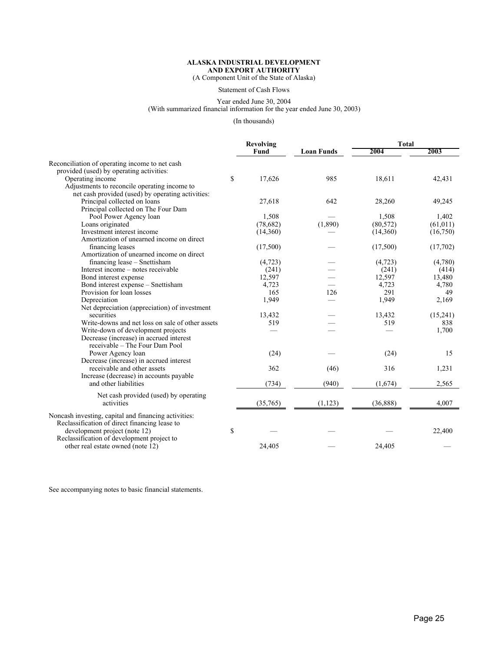(A Component Unit of the State of Alaska)

Statement of Cash Flows

#### Year ended June 30, 2004 (With summarized financial information for the year ended June 30, 2003)

(In thousands)

|                                                      | Revolving    |                   | <b>Total</b> |           |  |
|------------------------------------------------------|--------------|-------------------|--------------|-----------|--|
|                                                      | Fund         | <b>Loan Funds</b> | 2004         | 2003      |  |
| Reconciliation of operating income to net cash       |              |                   |              |           |  |
| provided (used) by operating activities:             |              |                   |              |           |  |
| Operating income                                     | \$<br>17,626 | 985               | 18,611       | 42,431    |  |
| Adjustments to reconcile operating income to         |              |                   |              |           |  |
| net cash provided (used) by operating activities     |              |                   |              |           |  |
| Principal collected on loans                         | 27,618       | 642               | 28,260       | 49,245    |  |
| Principal collected on The Four Dam                  |              |                   |              |           |  |
| Pool Power Agency loan                               | 1,508        |                   | 1,508        | 1,402     |  |
| Loans originated                                     | (78,682)     | (1,890)           | (80, 572)    | (61, 011) |  |
| Investment interest income                           | (14,360)     |                   | (14,360)     | (16,750)  |  |
| Amortization of unearned income on direct            |              |                   |              |           |  |
| financing leases                                     | (17,500)     |                   | (17,500)     | (17,702)  |  |
| Amortization of unearned income on direct            |              |                   |              |           |  |
| financing lease – Snettisham                         | (4, 723)     |                   | (4, 723)     | (4,780)   |  |
| Interest income – notes receivable                   | (241)        |                   | (241)        | (414)     |  |
| Bond interest expense                                | 12,597       |                   | 12,597       | 13,480    |  |
| Bond interest expense - Snettisham                   | 4,723        |                   | 4,723        | 4,780     |  |
| Provision for loan losses                            | 165          | 126               | 291          | 49        |  |
| Depreciation                                         | 1,949        |                   | 1,949        | 2,169     |  |
| Net depreciation (appreciation) of investment        |              |                   |              |           |  |
| securities                                           | 13,432       |                   | 13,432       | (15, 241) |  |
| Write-downs and net loss on sale of other assets     | 519          |                   | 519          | 838       |  |
| Write-down of development projects                   |              |                   |              | 1,700     |  |
| Decrease (increase) in accrued interest              |              |                   |              |           |  |
| receivable – The Four Dam Pool                       |              |                   |              |           |  |
| Power Agency loan                                    | (24)         |                   | (24)         | 15        |  |
| Decrease (increase) in accrued interest              |              |                   |              |           |  |
| receivable and other assets                          | 362          | (46)              | 316          | 1,231     |  |
| Increase (decrease) in accounts payable              |              |                   |              |           |  |
| and other liabilities                                | (734)        | (940)             | (1,674)      | 2,565     |  |
| Net cash provided (used) by operating                |              |                   |              |           |  |
| activities                                           | (35,765)     | (1, 123)          | (36, 888)    | 4,007     |  |
| Noncash investing, capital and financing activities: |              |                   |              |           |  |
| Reclassification of direct financing lease to        |              |                   |              |           |  |
| development project (note 12)                        | \$           |                   |              | 22,400    |  |
| Reclassification of development project to           |              |                   |              |           |  |
| other real estate owned (note 12)                    | 24,405       |                   | 24,405       |           |  |
|                                                      |              |                   |              |           |  |

See accompanying notes to basic financial statements.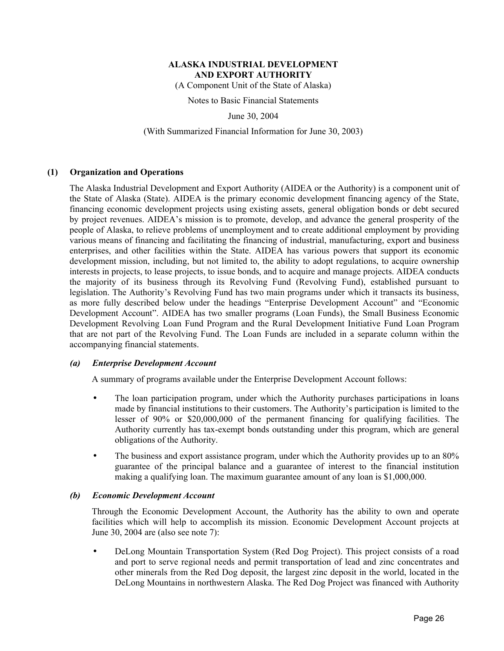(A Component Unit of the State of Alaska)

Notes to Basic Financial Statements

June 30, 2004

### (With Summarized Financial Information for June 30, 2003)

## **(1) Organization and Operations**

The Alaska Industrial Development and Export Authority (AIDEA or the Authority) is a component unit of the State of Alaska (State). AIDEA is the primary economic development financing agency of the State, financing economic development projects using existing assets, general obligation bonds or debt secured by project revenues. AIDEA's mission is to promote, develop, and advance the general prosperity of the people of Alaska, to relieve problems of unemployment and to create additional employment by providing various means of financing and facilitating the financing of industrial, manufacturing, export and business enterprises, and other facilities within the State. AIDEA has various powers that support its economic development mission, including, but not limited to, the ability to adopt regulations, to acquire ownership interests in projects, to lease projects, to issue bonds, and to acquire and manage projects. AIDEA conducts the majority of its business through its Revolving Fund (Revolving Fund), established pursuant to legislation. The Authority's Revolving Fund has two main programs under which it transacts its business, as more fully described below under the headings "Enterprise Development Account" and "Economic Development Account". AIDEA has two smaller programs (Loan Funds), the Small Business Economic Development Revolving Loan Fund Program and the Rural Development Initiative Fund Loan Program that are not part of the Revolving Fund. The Loan Funds are included in a separate column within the accompanying financial statements.

#### *(a) Enterprise Development Account*

A summary of programs available under the Enterprise Development Account follows:

- The loan participation program, under which the Authority purchases participations in loans made by financial institutions to their customers. The Authority's participation is limited to the lesser of 90% or \$20,000,000 of the permanent financing for qualifying facilities. The Authority currently has tax-exempt bonds outstanding under this program, which are general obligations of the Authority.
- The business and export assistance program, under which the Authority provides up to an 80% guarantee of the principal balance and a guarantee of interest to the financial institution making a qualifying loan. The maximum guarantee amount of any loan is \$1,000,000.

#### *(b) Economic Development Account*

Through the Economic Development Account, the Authority has the ability to own and operate facilities which will help to accomplish its mission. Economic Development Account projects at June 30, 2004 are (also see note 7):

• DeLong Mountain Transportation System (Red Dog Project). This project consists of a road and port to serve regional needs and permit transportation of lead and zinc concentrates and other minerals from the Red Dog deposit, the largest zinc deposit in the world, located in the DeLong Mountains in northwestern Alaska. The Red Dog Project was financed with Authority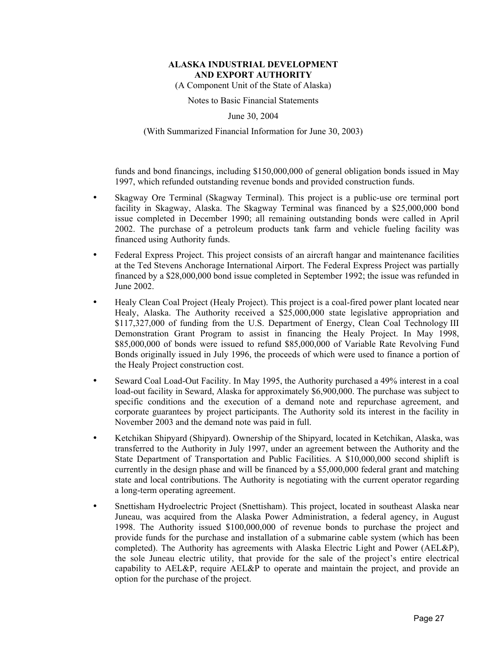(A Component Unit of the State of Alaska)

Notes to Basic Financial Statements

June 30, 2004

(With Summarized Financial Information for June 30, 2003)

funds and bond financings, including \$150,000,000 of general obligation bonds issued in May 1997, which refunded outstanding revenue bonds and provided construction funds.

- Skagway Ore Terminal (Skagway Terminal). This project is a public-use ore terminal port facility in Skagway, Alaska. The Skagway Terminal was financed by a \$25,000,000 bond issue completed in December 1990; all remaining outstanding bonds were called in April 2002. The purchase of a petroleum products tank farm and vehicle fueling facility was financed using Authority funds.
- Federal Express Project. This project consists of an aircraft hangar and maintenance facilities at the Ted Stevens Anchorage International Airport. The Federal Express Project was partially financed by a \$28,000,000 bond issue completed in September 1992; the issue was refunded in June 2002.
- Healy Clean Coal Project (Healy Project). This project is a coal-fired power plant located near Healy, Alaska. The Authority received a \$25,000,000 state legislative appropriation and \$117,327,000 of funding from the U.S. Department of Energy, Clean Coal Technology III Demonstration Grant Program to assist in financing the Healy Project. In May 1998, \$85,000,000 of bonds were issued to refund \$85,000,000 of Variable Rate Revolving Fund Bonds originally issued in July 1996, the proceeds of which were used to finance a portion of the Healy Project construction cost.
- Seward Coal Load-Out Facility. In May 1995, the Authority purchased a 49% interest in a coal load-out facility in Seward, Alaska for approximately \$6,900,000. The purchase was subject to specific conditions and the execution of a demand note and repurchase agreement, and corporate guarantees by project participants. The Authority sold its interest in the facility in November 2003 and the demand note was paid in full.
- Ketchikan Shipyard (Shipyard). Ownership of the Shipyard, located in Ketchikan, Alaska, was transferred to the Authority in July 1997, under an agreement between the Authority and the State Department of Transportation and Public Facilities. A \$10,000,000 second shiplift is currently in the design phase and will be financed by a \$5,000,000 federal grant and matching state and local contributions. The Authority is negotiating with the current operator regarding a long-term operating agreement.
- Snettisham Hydroelectric Project (Snettisham). This project, located in southeast Alaska near Juneau, was acquired from the Alaska Power Administration, a federal agency, in August 1998. The Authority issued \$100,000,000 of revenue bonds to purchase the project and provide funds for the purchase and installation of a submarine cable system (which has been completed). The Authority has agreements with Alaska Electric Light and Power (AEL&P), the sole Juneau electric utility, that provide for the sale of the project's entire electrical capability to AEL&P, require AEL&P to operate and maintain the project, and provide an option for the purchase of the project.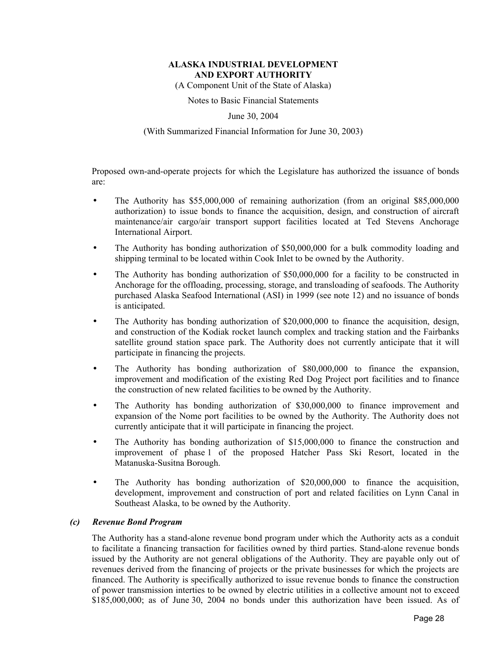(A Component Unit of the State of Alaska)

Notes to Basic Financial Statements

June 30, 2004

## (With Summarized Financial Information for June 30, 2003)

Proposed own-and-operate projects for which the Legislature has authorized the issuance of bonds are:

- The Authority has \$55,000,000 of remaining authorization (from an original \$85,000,000 authorization) to issue bonds to finance the acquisition, design, and construction of aircraft maintenance/air cargo/air transport support facilities located at Ted Stevens Anchorage International Airport.
- The Authority has bonding authorization of \$50,000,000 for a bulk commodity loading and shipping terminal to be located within Cook Inlet to be owned by the Authority.
- The Authority has bonding authorization of \$50,000,000 for a facility to be constructed in Anchorage for the offloading, processing, storage, and transloading of seafoods. The Authority purchased Alaska Seafood International (ASI) in 1999 (see note 12) and no issuance of bonds is anticipated.
- The Authority has bonding authorization of \$20,000,000 to finance the acquisition, design, and construction of the Kodiak rocket launch complex and tracking station and the Fairbanks satellite ground station space park. The Authority does not currently anticipate that it will participate in financing the projects.
- The Authority has bonding authorization of \$80,000,000 to finance the expansion, improvement and modification of the existing Red Dog Project port facilities and to finance the construction of new related facilities to be owned by the Authority.
- The Authority has bonding authorization of \$30,000,000 to finance improvement and expansion of the Nome port facilities to be owned by the Authority. The Authority does not currently anticipate that it will participate in financing the project.
- The Authority has bonding authorization of \$15,000,000 to finance the construction and improvement of phase 1 of the proposed Hatcher Pass Ski Resort, located in the Matanuska-Susitna Borough.
- The Authority has bonding authorization of \$20,000,000 to finance the acquisition, development, improvement and construction of port and related facilities on Lynn Canal in Southeast Alaska, to be owned by the Authority.

## *(c) Revenue Bond Program*

The Authority has a stand-alone revenue bond program under which the Authority acts as a conduit to facilitate a financing transaction for facilities owned by third parties. Stand-alone revenue bonds issued by the Authority are not general obligations of the Authority. They are payable only out of revenues derived from the financing of projects or the private businesses for which the projects are financed. The Authority is specifically authorized to issue revenue bonds to finance the construction of power transmission interties to be owned by electric utilities in a collective amount not to exceed \$185,000,000; as of June 30, 2004 no bonds under this authorization have been issued. As of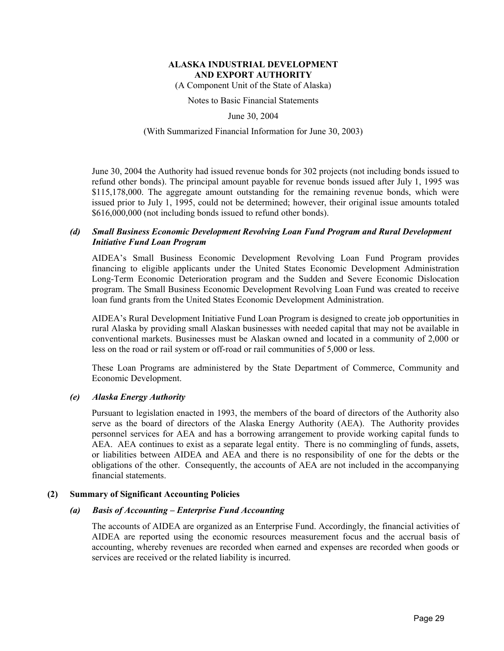(A Component Unit of the State of Alaska)

Notes to Basic Financial Statements

June 30, 2004

## (With Summarized Financial Information for June 30, 2003)

June 30, 2004 the Authority had issued revenue bonds for 302 projects (not including bonds issued to refund other bonds). The principal amount payable for revenue bonds issued after July 1, 1995 was \$115,178,000. The aggregate amount outstanding for the remaining revenue bonds, which were issued prior to July 1, 1995, could not be determined; however, their original issue amounts totaled \$616,000,000 (not including bonds issued to refund other bonds).

## *(d) Small Business Economic Development Revolving Loan Fund Program and Rural Development Initiative Fund Loan Program*

AIDEA's Small Business Economic Development Revolving Loan Fund Program provides financing to eligible applicants under the United States Economic Development Administration Long-Term Economic Deterioration program and the Sudden and Severe Economic Dislocation program. The Small Business Economic Development Revolving Loan Fund was created to receive loan fund grants from the United States Economic Development Administration.

AIDEA's Rural Development Initiative Fund Loan Program is designed to create job opportunities in rural Alaska by providing small Alaskan businesses with needed capital that may not be available in conventional markets. Businesses must be Alaskan owned and located in a community of 2,000 or less on the road or rail system or off-road or rail communities of 5,000 or less.

These Loan Programs are administered by the State Department of Commerce, Community and Economic Development.

#### *(e) Alaska Energy Authority*

Pursuant to legislation enacted in 1993, the members of the board of directors of the Authority also serve as the board of directors of the Alaska Energy Authority (AEA). The Authority provides personnel services for AEA and has a borrowing arrangement to provide working capital funds to AEA. AEA continues to exist as a separate legal entity. There is no commingling of funds, assets, or liabilities between AIDEA and AEA and there is no responsibility of one for the debts or the obligations of the other. Consequently, the accounts of AEA are not included in the accompanying financial statements.

#### **(2) Summary of Significant Accounting Policies**

## *(a) Basis of Accounting – Enterprise Fund Accounting*

The accounts of AIDEA are organized as an Enterprise Fund. Accordingly, the financial activities of AIDEA are reported using the economic resources measurement focus and the accrual basis of accounting, whereby revenues are recorded when earned and expenses are recorded when goods or services are received or the related liability is incurred.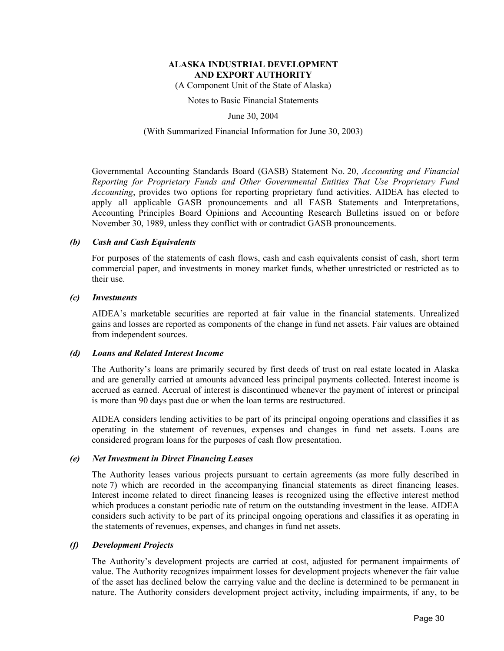(A Component Unit of the State of Alaska)

Notes to Basic Financial Statements

June 30, 2004

## (With Summarized Financial Information for June 30, 2003)

Governmental Accounting Standards Board (GASB) Statement No. 20, *Accounting and Financial Reporting for Proprietary Funds and Other Governmental Entities That Use Proprietary Fund Accounting*, provides two options for reporting proprietary fund activities. AIDEA has elected to apply all applicable GASB pronouncements and all FASB Statements and Interpretations, Accounting Principles Board Opinions and Accounting Research Bulletins issued on or before November 30, 1989, unless they conflict with or contradict GASB pronouncements.

#### *(b) Cash and Cash Equivalents*

For purposes of the statements of cash flows, cash and cash equivalents consist of cash, short term commercial paper, and investments in money market funds, whether unrestricted or restricted as to their use.

#### *(c) Investments*

AIDEA's marketable securities are reported at fair value in the financial statements. Unrealized gains and losses are reported as components of the change in fund net assets. Fair values are obtained from independent sources.

#### *(d) Loans and Related Interest Income*

The Authority's loans are primarily secured by first deeds of trust on real estate located in Alaska and are generally carried at amounts advanced less principal payments collected. Interest income is accrued as earned. Accrual of interest is discontinued whenever the payment of interest or principal is more than 90 days past due or when the loan terms are restructured.

AIDEA considers lending activities to be part of its principal ongoing operations and classifies it as operating in the statement of revenues, expenses and changes in fund net assets. Loans are considered program loans for the purposes of cash flow presentation.

#### *(e) Net Investment in Direct Financing Leases*

The Authority leases various projects pursuant to certain agreements (as more fully described in note 7) which are recorded in the accompanying financial statements as direct financing leases. Interest income related to direct financing leases is recognized using the effective interest method which produces a constant periodic rate of return on the outstanding investment in the lease. AIDEA considers such activity to be part of its principal ongoing operations and classifies it as operating in the statements of revenues, expenses, and changes in fund net assets.

#### *(f) Development Projects*

The Authority's development projects are carried at cost, adjusted for permanent impairments of value. The Authority recognizes impairment losses for development projects whenever the fair value of the asset has declined below the carrying value and the decline is determined to be permanent in nature. The Authority considers development project activity, including impairments, if any, to be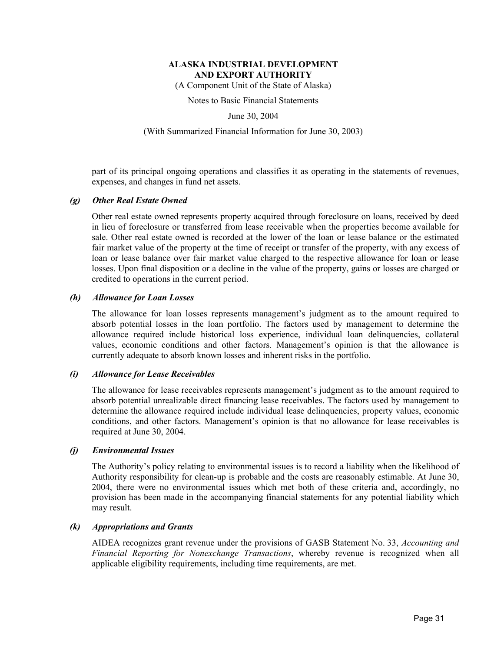(A Component Unit of the State of Alaska)

Notes to Basic Financial Statements

June 30, 2004

#### (With Summarized Financial Information for June 30, 2003)

part of its principal ongoing operations and classifies it as operating in the statements of revenues, expenses, and changes in fund net assets.

#### *(g) Other Real Estate Owned*

Other real estate owned represents property acquired through foreclosure on loans, received by deed in lieu of foreclosure or transferred from lease receivable when the properties become available for sale. Other real estate owned is recorded at the lower of the loan or lease balance or the estimated fair market value of the property at the time of receipt or transfer of the property, with any excess of loan or lease balance over fair market value charged to the respective allowance for loan or lease losses. Upon final disposition or a decline in the value of the property, gains or losses are charged or credited to operations in the current period.

#### *(h) Allowance for Loan Losses*

The allowance for loan losses represents management's judgment as to the amount required to absorb potential losses in the loan portfolio. The factors used by management to determine the allowance required include historical loss experience, individual loan delinquencies, collateral values, economic conditions and other factors. Management's opinion is that the allowance is currently adequate to absorb known losses and inherent risks in the portfolio.

#### *(i) Allowance for Lease Receivables*

The allowance for lease receivables represents management's judgment as to the amount required to absorb potential unrealizable direct financing lease receivables. The factors used by management to determine the allowance required include individual lease delinquencies, property values, economic conditions, and other factors. Management's opinion is that no allowance for lease receivables is required at June 30, 2004.

#### *(j) Environmental Issues*

The Authority's policy relating to environmental issues is to record a liability when the likelihood of Authority responsibility for clean-up is probable and the costs are reasonably estimable. At June 30, 2004, there were no environmental issues which met both of these criteria and, accordingly, no provision has been made in the accompanying financial statements for any potential liability which may result.

#### *(k) Appropriations and Grants*

AIDEA recognizes grant revenue under the provisions of GASB Statement No. 33, *Accounting and Financial Reporting for Nonexchange Transactions*, whereby revenue is recognized when all applicable eligibility requirements, including time requirements, are met.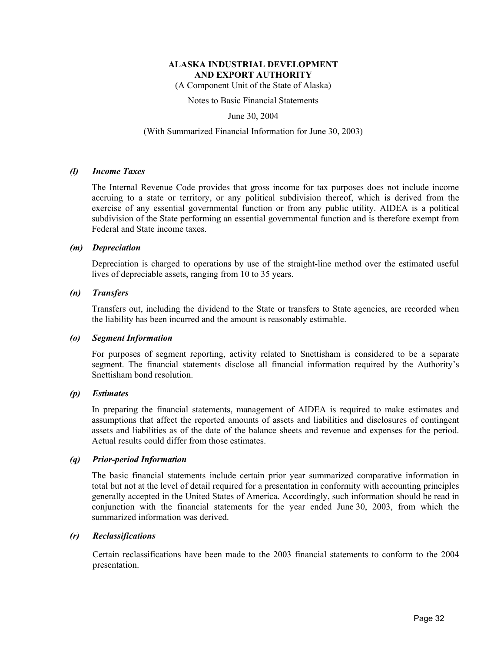(A Component Unit of the State of Alaska)

Notes to Basic Financial Statements

June 30, 2004

#### (With Summarized Financial Information for June 30, 2003)

#### *(l) Income Taxes*

The Internal Revenue Code provides that gross income for tax purposes does not include income accruing to a state or territory, or any political subdivision thereof, which is derived from the exercise of any essential governmental function or from any public utility. AIDEA is a political subdivision of the State performing an essential governmental function and is therefore exempt from Federal and State income taxes.

#### *(m) Depreciation*

Depreciation is charged to operations by use of the straight-line method over the estimated useful lives of depreciable assets, ranging from 10 to 35 years.

#### *(n) Transfers*

Transfers out, including the dividend to the State or transfers to State agencies, are recorded when the liability has been incurred and the amount is reasonably estimable.

#### *(o) Segment Information*

For purposes of segment reporting, activity related to Snettisham is considered to be a separate segment. The financial statements disclose all financial information required by the Authority's Snettisham bond resolution.

#### *(p) Estimates*

In preparing the financial statements, management of AIDEA is required to make estimates and assumptions that affect the reported amounts of assets and liabilities and disclosures of contingent assets and liabilities as of the date of the balance sheets and revenue and expenses for the period. Actual results could differ from those estimates.

#### *(q) Prior-period Information*

The basic financial statements include certain prior year summarized comparative information in total but not at the level of detail required for a presentation in conformity with accounting principles generally accepted in the United States of America. Accordingly, such information should be read in conjunction with the financial statements for the year ended June 30, 2003, from which the summarized information was derived.

#### *(r) Reclassifications*

Certain reclassifications have been made to the 2003 financial statements to conform to the 2004 presentation.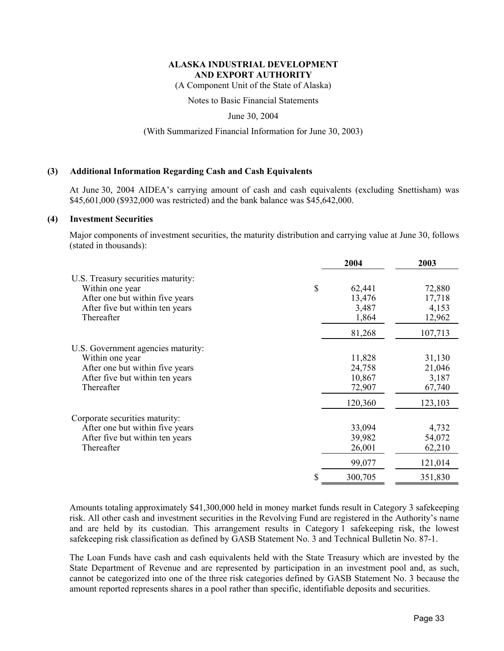(A Component Unit of the State of Alaska)

Notes to Basic Financial Statements

June 30, 2004

(With Summarized Financial Information for June 30, 2003)

## **(3) Additional Information Regarding Cash and Cash Equivalents**

At June 30, 2004 AIDEA's carrying amount of cash and cash equivalents (excluding Snettisham) was \$45,601,000 (\$932,000 was restricted) and the bank balance was \$45,642,000.

#### **(4) Investment Securities**

Major components of investment securities, the maturity distribution and carrying value at June 30, follows (stated in thousands):

|                                                                                                                                           |    | 2004                                         | 2003                                           |
|-------------------------------------------------------------------------------------------------------------------------------------------|----|----------------------------------------------|------------------------------------------------|
| U.S. Treasury securities maturity:<br>Within one year<br>After one but within five years<br>After five but within ten years<br>Thereafter | \$ | 62,441<br>13,476<br>3,487<br>1,864<br>81,268 | 72,880<br>17,718<br>4,153<br>12,962<br>107,713 |
| U.S. Government agencies maturity:                                                                                                        |    |                                              |                                                |
| Within one year<br>After one but within five years<br>After five but within ten years<br>Thereafter                                       |    | 11,828<br>24,758<br>10,867<br>72,907         | 31,130<br>21,046<br>3,187<br>67,740            |
|                                                                                                                                           |    | 120,360                                      | 123,103                                        |
| Corporate securities maturity:<br>After one but within five years<br>After five but within ten years<br>Thereafter                        |    | 33,094<br>39,982<br>26,001<br>99,077         | 4,732<br>54,072<br>62,210<br>121,014           |
|                                                                                                                                           | S  | 300,705                                      | 351,830                                        |

Amounts totaling approximately \$41,300,000 held in money market funds result in Category 3 safekeeping risk. All other cash and investment securities in the Revolving Fund are registered in the Authority's name and are held by its custodian. This arrangement results in Category 1 safekeeping risk, the lowest safekeeping risk classification as defined by GASB Statement No. 3 and Technical Bulletin No. 87-1.

The Loan Funds have cash and cash equivalents held with the State Treasury which are invested by the State Department of Revenue and are represented by participation in an investment pool and, as such, cannot be categorized into one of the three risk categories defined by GASB Statement No. 3 because the amount reported represents shares in a pool rather than specific, identifiable deposits and securities.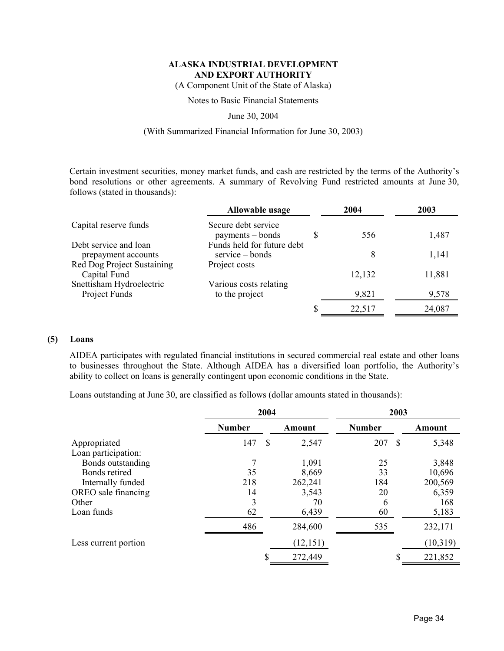(A Component Unit of the State of Alaska)

Notes to Basic Financial Statements

### June 30, 2004

## (With Summarized Financial Information for June 30, 2003)

Certain investment securities, money market funds, and cash are restricted by the terms of the Authority's bond resolutions or other agreements. A summary of Revolving Fund restricted amounts at June 30, follows (stated in thousands):

|                                              | Allowable usage                                  | 2004   | 2003   |
|----------------------------------------------|--------------------------------------------------|--------|--------|
| Capital reserve funds                        | Secure debt service<br>$payments - bonds$        | 556    | 1,487  |
| Debt service and loan<br>prepayment accounts | Funds held for future debt<br>$s$ ervice – bonds | 8      | 1,141  |
| Red Dog Project Sustaining<br>Capital Fund   | Project costs                                    | 12,132 | 11,881 |
| Snettisham Hydroelectric<br>Project Funds    | Various costs relating<br>to the project         | 9,821  | 9,578  |
|                                              |                                                  | 22,517 | 24,087 |

## **(5) Loans**

AIDEA participates with regulated financial institutions in secured commercial real estate and other loans to businesses throughout the State. Although AIDEA has a diversified loan portfolio, the Authority's ability to collect on loans is generally contingent upon economic conditions in the State.

Loans outstanding at June 30, are classified as follows (dollar amounts stated in thousands):

|                                     | 2004          |               |           | 2003          |   |          |
|-------------------------------------|---------------|---------------|-----------|---------------|---|----------|
|                                     | <b>Number</b> |               | Amount    | <b>Number</b> |   | Amount   |
| Appropriated<br>Loan participation: | 147           | <sup>\$</sup> | 2,547     | 207           | S | 5,348    |
| Bonds outstanding                   |               |               | 1,091     | 25            |   | 3,848    |
| Bonds retired                       | 35            |               | 8,669     | 33            |   | 10,696   |
| Internally funded                   | 218           |               | 262,241   | 184           |   | 200,569  |
| OREO sale financing                 | 14            |               | 3,543     | 20            |   | 6,359    |
| Other                               | 3             |               | 70        | 6             |   | 168      |
| Loan funds                          | 62            |               | 6,439     | 60            |   | 5,183    |
|                                     | 486           |               | 284,600   | 535           |   | 232,171  |
| Less current portion                |               |               | (12, 151) |               |   | (10,319) |
|                                     |               |               | 272,449   |               |   | 221,852  |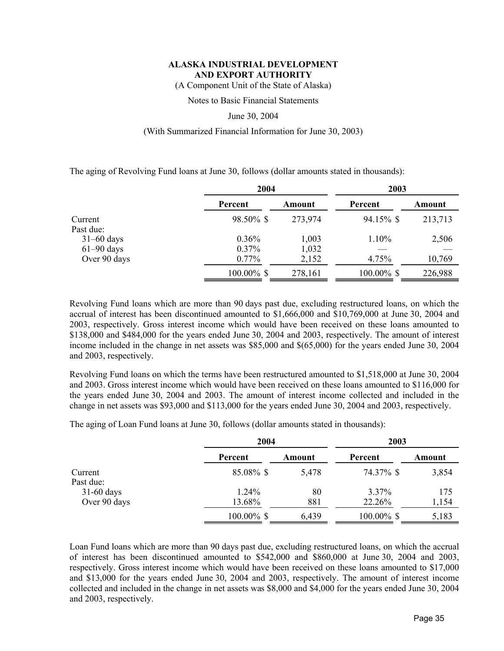(A Component Unit of the State of Alaska)

Notes to Basic Financial Statements

#### June 30, 2004

## (With Summarized Financial Information for June 30, 2003)

The aging of Revolving Fund loans at June 30, follows (dollar amounts stated in thousands):

|              | 2004       |         | 2003       |         |  |
|--------------|------------|---------|------------|---------|--|
|              | Percent    | Amount  | Percent    | Amount  |  |
| Current      | 98.50% \$  | 273,974 | 94.15% \$  | 213,713 |  |
| Past due:    |            |         |            |         |  |
| $31-60$ days | 0.36%      | 1,003   | 1.10%      | 2,506   |  |
| $61-90$ days | 0.37%      | 1,032   |            |         |  |
| Over 90 days | $0.77\%$   | 2,152   | 4.75%      | 10,769  |  |
|              | 100.00% \$ | 278,161 | 100.00% \$ | 226,988 |  |

Revolving Fund loans which are more than 90 days past due, excluding restructured loans, on which the accrual of interest has been discontinued amounted to \$1,666,000 and \$10,769,000 at June 30, 2004 and 2003, respectively. Gross interest income which would have been received on these loans amounted to \$138,000 and \$484,000 for the years ended June 30, 2004 and 2003, respectively. The amount of interest income included in the change in net assets was \$85,000 and \$(65,000) for the years ended June 30, 2004 and 2003, respectively.

Revolving Fund loans on which the terms have been restructured amounted to \$1,518,000 at June 30, 2004 and 2003. Gross interest income which would have been received on these loans amounted to \$116,000 for the years ended June 30, 2004 and 2003. The amount of interest income collected and included in the change in net assets was \$93,000 and \$113,000 for the years ended June 30, 2004 and 2003, respectively.

The aging of Loan Fund loans at June 30, follows (dollar amounts stated in thousands):

|                              |                 | 2004      |                    | 2003         |  |  |
|------------------------------|-----------------|-----------|--------------------|--------------|--|--|
|                              | Percent         | Amount    | Percent            | Amount       |  |  |
| Current<br>Past due:         | 85.08% \$       | 5,478     | 74.37% \$          | 3,854        |  |  |
| $31-60$ days<br>Over 90 days | 1.24%<br>13.68% | 80<br>881 | $3.37\%$<br>22.26% | 175<br>1,154 |  |  |
|                              | $100.00\%$ \$   | 6,439     | $100.00\%$ \$      | 5,183        |  |  |

Loan Fund loans which are more than 90 days past due, excluding restructured loans, on which the accrual of interest has been discontinued amounted to \$542,000 and \$860,000 at June 30, 2004 and 2003, respectively. Gross interest income which would have been received on these loans amounted to \$17,000 and \$13,000 for the years ended June 30, 2004 and 2003, respectively. The amount of interest income collected and included in the change in net assets was \$8,000 and \$4,000 for the years ended June 30, 2004 and 2003, respectively.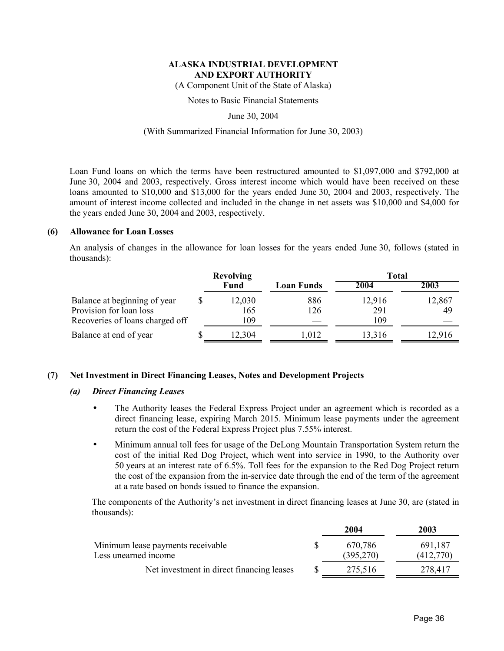(A Component Unit of the State of Alaska)

Notes to Basic Financial Statements

June 30, 2004

## (With Summarized Financial Information for June 30, 2003)

Loan Fund loans on which the terms have been restructured amounted to \$1,097,000 and \$792,000 at June 30, 2004 and 2003, respectively. Gross interest income which would have been received on these loans amounted to \$10,000 and \$13,000 for the years ended June 30, 2004 and 2003, respectively. The amount of interest income collected and included in the change in net assets was \$10,000 and \$4,000 for the years ended June 30, 2004 and 2003, respectively.

## **(6) Allowance for Loan Losses**

An analysis of changes in the allowance for loan losses for the years ended June 30, follows (stated in thousands):

|                                                                                            | <b>Revolving</b>     |            | <b>Total</b>         |              |  |
|--------------------------------------------------------------------------------------------|----------------------|------------|----------------------|--------------|--|
|                                                                                            | Fund                 | Loan Funds | 2004                 | 2003         |  |
| Balance at beginning of year<br>Provision for loan loss<br>Recoveries of loans charged off | 12,030<br>165<br>109 | 886<br>126 | 12,916<br>291<br>109 | 12,867<br>49 |  |
| Balance at end of year                                                                     | 12,304               | 1,012      | 13,316               | 12.916       |  |

## **(7) Net Investment in Direct Financing Leases, Notes and Development Projects**

#### *(a) Direct Financing Leases*

- The Authority leases the Federal Express Project under an agreement which is recorded as a direct financing lease, expiring March 2015. Minimum lease payments under the agreement return the cost of the Federal Express Project plus 7.55% interest.
- Minimum annual toll fees for usage of the DeLong Mountain Transportation System return the cost of the initial Red Dog Project, which went into service in 1990, to the Authority over 50 years at an interest rate of 6.5%. Toll fees for the expansion to the Red Dog Project return the cost of the expansion from the in-service date through the end of the term of the agreement at a rate based on bonds issued to finance the expansion.

The components of the Authority's net investment in direct financing leases at June 30, are (stated in thousands):

|                                                           | 2004                 | 2003                 |
|-----------------------------------------------------------|----------------------|----------------------|
| Minimum lease payments receivable<br>Less unearned income | 670.786<br>(395,270) | 691,187<br>(412.770) |
| Net investment in direct financing leases                 | 275,516              | 278,417              |
|                                                           |                      |                      |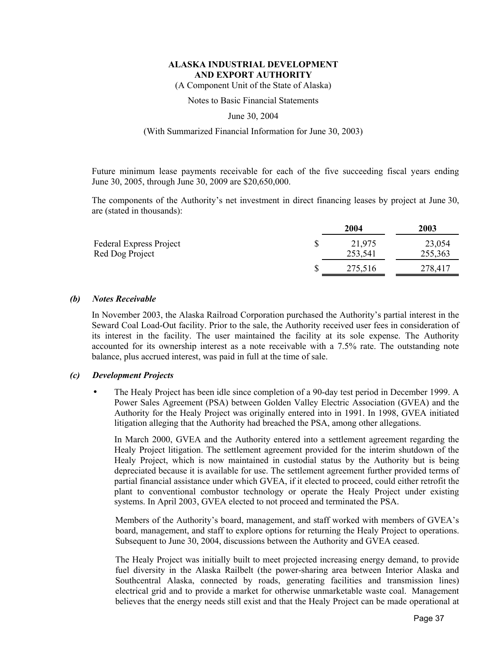(A Component Unit of the State of Alaska)

Notes to Basic Financial Statements

June 30, 2004

#### (With Summarized Financial Information for June 30, 2003)

Future minimum lease payments receivable for each of the five succeeding fiscal years ending June 30, 2005, through June 30, 2009 are \$20,650,000.

The components of the Authority's net investment in direct financing leases by project at June 30, are (stated in thousands):

|                                                   | 2004              | 2003              |
|---------------------------------------------------|-------------------|-------------------|
| <b>Federal Express Project</b><br>Red Dog Project | 21,975<br>253,541 | 23,054<br>255,363 |
|                                                   | 275,516           | 278,417           |

#### *(b) Notes Receivable*

In November 2003, the Alaska Railroad Corporation purchased the Authority's partial interest in the Seward Coal Load-Out facility. Prior to the sale, the Authority received user fees in consideration of its interest in the facility. The user maintained the facility at its sole expense. The Authority accounted for its ownership interest as a note receivable with a 7.5% rate. The outstanding note balance, plus accrued interest, was paid in full at the time of sale.

#### *(c) Development Projects*

• The Healy Project has been idle since completion of a 90-day test period in December 1999. A Power Sales Agreement (PSA) between Golden Valley Electric Association (GVEA) and the Authority for the Healy Project was originally entered into in 1991. In 1998, GVEA initiated litigation alleging that the Authority had breached the PSA, among other allegations.

In March 2000, GVEA and the Authority entered into a settlement agreement regarding the Healy Project litigation. The settlement agreement provided for the interim shutdown of the Healy Project, which is now maintained in custodial status by the Authority but is being depreciated because it is available for use. The settlement agreement further provided terms of partial financial assistance under which GVEA, if it elected to proceed, could either retrofit the plant to conventional combustor technology or operate the Healy Project under existing systems. In April 2003, GVEA elected to not proceed and terminated the PSA.

Members of the Authority's board, management, and staff worked with members of GVEA's board, management, and staff to explore options for returning the Healy Project to operations. Subsequent to June 30, 2004, discussions between the Authority and GVEA ceased.

The Healy Project was initially built to meet projected increasing energy demand, to provide fuel diversity in the Alaska Railbelt (the power-sharing area between Interior Alaska and Southcentral Alaska, connected by roads, generating facilities and transmission lines) electrical grid and to provide a market for otherwise unmarketable waste coal. Management believes that the energy needs still exist and that the Healy Project can be made operational at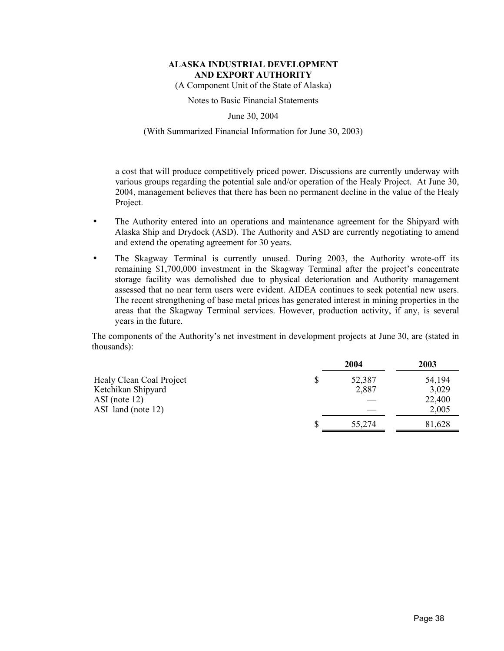(A Component Unit of the State of Alaska)

Notes to Basic Financial Statements

June 30, 2004

## (With Summarized Financial Information for June 30, 2003)

a cost that will produce competitively priced power. Discussions are currently underway with various groups regarding the potential sale and/or operation of the Healy Project. At June 30, 2004, management believes that there has been no permanent decline in the value of the Healy Project.

- The Authority entered into an operations and maintenance agreement for the Shipyard with Alaska Ship and Drydock (ASD). The Authority and ASD are currently negotiating to amend and extend the operating agreement for 30 years.
- The Skagway Terminal is currently unused. During 2003, the Authority wrote-off its remaining \$1,700,000 investment in the Skagway Terminal after the project's concentrate storage facility was demolished due to physical deterioration and Authority management assessed that no near term users were evident. AIDEA continues to seek potential new users. The recent strengthening of base metal prices has generated interest in mining properties in the areas that the Skagway Terminal services. However, production activity, if any, is several years in the future.

The components of the Authority's net investment in development projects at June 30, are (stated in thousands):

|                          | 2004   | 2003   |
|--------------------------|--------|--------|
| Healy Clean Coal Project | 52,387 | 54,194 |
| Ketchikan Shipyard       | 2,887  | 3,029  |
| ASI (note $12$ )         |        | 22,400 |
| ASI land (note 12)       |        | 2,005  |
|                          | 55,274 | 81,628 |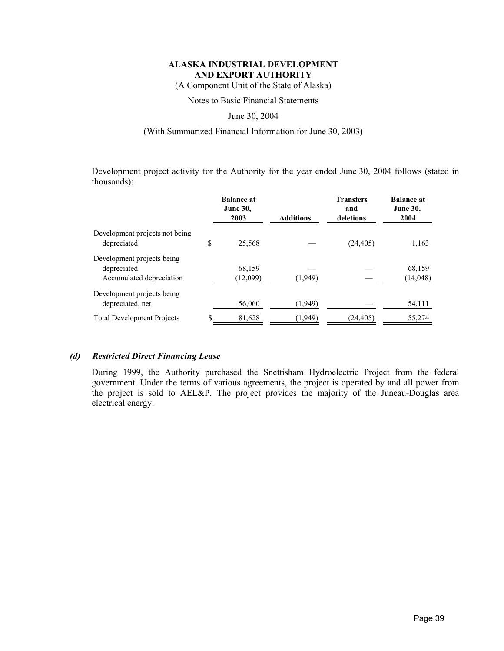(A Component Unit of the State of Alaska)

Notes to Basic Financial Statements

## June 30, 2004

# (With Summarized Financial Information for June 30, 2003)

Development project activity for the Authority for the year ended June 30, 2004 follows (stated in thousands):

|                                                                       |    | <b>Balance at</b><br><b>June 30,</b><br>2003 | <b>Additions</b> | <b>Transfers</b><br>and<br>deletions | <b>Balance at</b><br><b>June 30,</b><br>2004 |
|-----------------------------------------------------------------------|----|----------------------------------------------|------------------|--------------------------------------|----------------------------------------------|
| Development projects not being<br>depreciated                         | S  | 25,568                                       |                  | (24, 405)                            | 1,163                                        |
| Development projects being<br>depreciated<br>Accumulated depreciation |    | 68,159<br>(12,099)                           | (1,949)          |                                      | 68,159<br>(14, 048)                          |
| Development projects being<br>depreciated, net                        |    | 56,060                                       | (1,949)          |                                      | 54,111                                       |
| <b>Total Development Projects</b>                                     | \$ | 81,628                                       | (1,949)          | (24, 405)                            | 55,274                                       |

## *(d) Restricted Direct Financing Lease*

During 1999, the Authority purchased the Snettisham Hydroelectric Project from the federal government. Under the terms of various agreements, the project is operated by and all power from the project is sold to AEL&P. The project provides the majority of the Juneau-Douglas area electrical energy.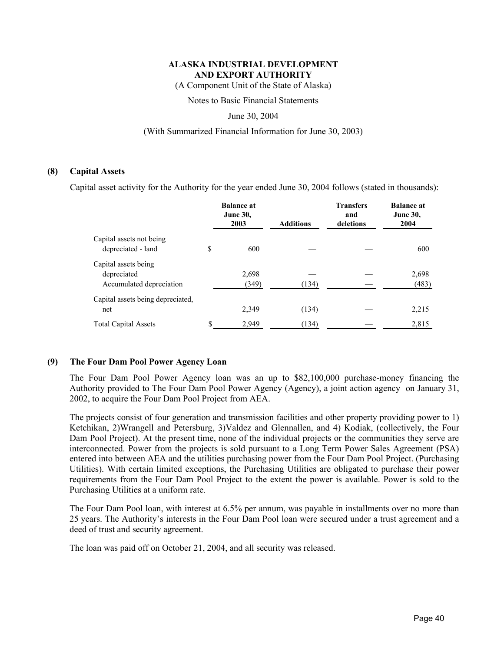(A Component Unit of the State of Alaska)

Notes to Basic Financial Statements

June 30, 2004

## (With Summarized Financial Information for June 30, 2003)

## **(8) Capital Assets**

Capital asset activity for the Authority for the year ended June 30, 2004 follows (stated in thousands):

|                                                | <b>Balance at</b><br><b>June 30,</b><br>2003 | <b>Additions</b> | <b>Transfers</b><br>and<br>deletions | <b>Balance at</b><br><b>June 30,</b><br>2004 |
|------------------------------------------------|----------------------------------------------|------------------|--------------------------------------|----------------------------------------------|
| Capital assets not being<br>depreciated - land | \$<br>600                                    |                  |                                      | 600                                          |
| Capital assets being                           |                                              |                  |                                      |                                              |
| depreciated                                    | 2,698                                        |                  |                                      | 2,698                                        |
| Accumulated depreciation                       | (349)                                        | (134)            |                                      | (483)                                        |
| Capital assets being depreciated,              |                                              |                  |                                      |                                              |
| net                                            | 2,349                                        | (134)            |                                      | 2,215                                        |
| <b>Total Capital Assets</b>                    | \$<br>2,949                                  | (134)            |                                      | 2,815                                        |

## **(9) The Four Dam Pool Power Agency Loan**

The Four Dam Pool Power Agency loan was an up to \$82,100,000 purchase-money financing the Authority provided to The Four Dam Pool Power Agency (Agency), a joint action agency on January 31, 2002, to acquire the Four Dam Pool Project from AEA.

The projects consist of four generation and transmission facilities and other property providing power to 1) Ketchikan, 2)Wrangell and Petersburg, 3)Valdez and Glennallen, and 4) Kodiak, (collectively, the Four Dam Pool Project). At the present time, none of the individual projects or the communities they serve are interconnected. Power from the projects is sold pursuant to a Long Term Power Sales Agreement (PSA) entered into between AEA and the utilities purchasing power from the Four Dam Pool Project. (Purchasing Utilities). With certain limited exceptions, the Purchasing Utilities are obligated to purchase their power requirements from the Four Dam Pool Project to the extent the power is available. Power is sold to the Purchasing Utilities at a uniform rate.

The Four Dam Pool loan, with interest at 6.5% per annum, was payable in installments over no more than 25 years. The Authority's interests in the Four Dam Pool loan were secured under a trust agreement and a deed of trust and security agreement.

The loan was paid off on October 21, 2004, and all security was released.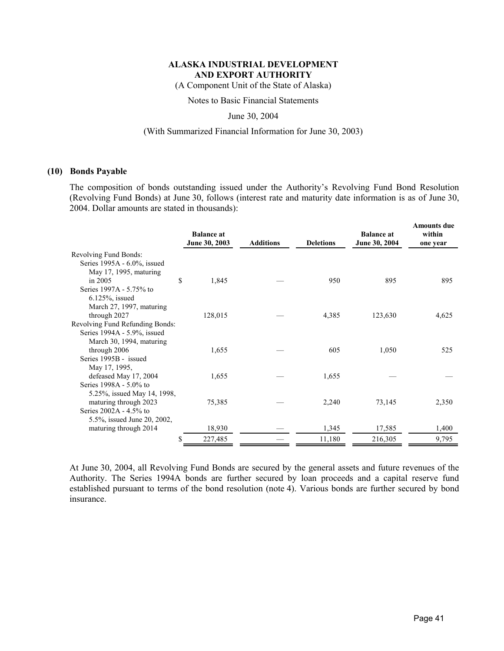(A Component Unit of the State of Alaska)

Notes to Basic Financial Statements

June 30, 2004

#### (With Summarized Financial Information for June 30, 2003)

## **(10) Bonds Payable**

The composition of bonds outstanding issued under the Authority's Revolving Fund Bond Resolution (Revolving Fund Bonds) at June 30, follows (interest rate and maturity date information is as of June 30, 2004. Dollar amounts are stated in thousands):

|                                 | <b>Balance at</b><br>June 30, 2003 | <b>Additions</b> | <b>Deletions</b> | <b>Balance at</b><br>June 30, 2004 | <b>Amounts due</b><br>within<br>one year |
|---------------------------------|------------------------------------|------------------|------------------|------------------------------------|------------------------------------------|
| Revolving Fund Bonds:           |                                    |                  |                  |                                    |                                          |
| Series 1995A - 6.0%, issued     |                                    |                  |                  |                                    |                                          |
| May 17, 1995, maturing          |                                    |                  |                  |                                    |                                          |
| in $2005$                       | \$<br>1,845                        |                  | 950              | 895                                | 895                                      |
| Series 1997A - 5.75% to         |                                    |                  |                  |                                    |                                          |
| $6.125\%$ , issued              |                                    |                  |                  |                                    |                                          |
| March 27, 1997, maturing        |                                    |                  |                  |                                    |                                          |
| through 2027                    | 128,015                            |                  | 4,385            | 123,630                            | 4,625                                    |
| Revolving Fund Refunding Bonds: |                                    |                  |                  |                                    |                                          |
| Series 1994A - 5.9%, issued     |                                    |                  |                  |                                    |                                          |
| March 30, 1994, maturing        |                                    |                  |                  |                                    |                                          |
| through 2006                    | 1,655                              |                  | 605              | 1,050                              | 525                                      |
| Series 1995B - issued           |                                    |                  |                  |                                    |                                          |
| May 17, 1995,                   |                                    |                  |                  |                                    |                                          |
| defeased May 17, 2004           | 1,655                              |                  | 1,655            |                                    |                                          |
| Series 1998A - 5.0% to          |                                    |                  |                  |                                    |                                          |
| 5.25%, issued May 14, 1998,     |                                    |                  |                  |                                    |                                          |
| maturing through 2023           | 75,385                             |                  | 2,240            | 73,145                             | 2,350                                    |
| Series 2002A - 4.5% to          |                                    |                  |                  |                                    |                                          |
| 5.5%, issued June 20, 2002,     |                                    |                  |                  |                                    |                                          |
| maturing through 2014           | 18,930                             |                  | 1,345            | 17,585                             | 1,400                                    |
|                                 | 227,485                            |                  | 11,180           | 216,305                            | 9,795                                    |

At June 30, 2004, all Revolving Fund Bonds are secured by the general assets and future revenues of the Authority. The Series 1994A bonds are further secured by loan proceeds and a capital reserve fund established pursuant to terms of the bond resolution (note 4). Various bonds are further secured by bond insurance.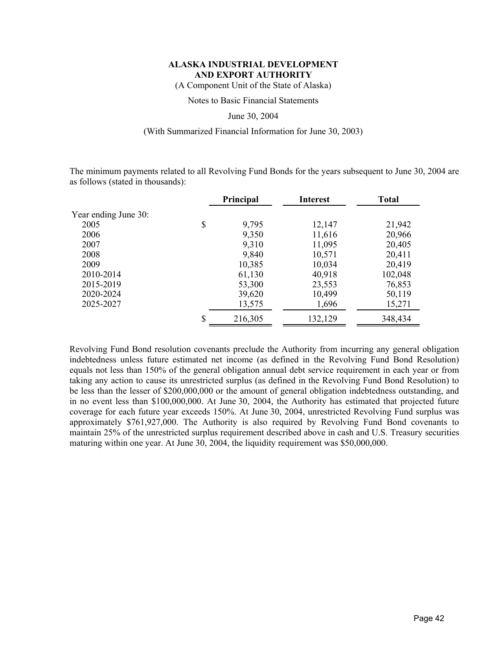(A Component Unit of the State of Alaska)

Notes to Basic Financial Statements

#### June 30, 2004

### (With Summarized Financial Information for June 30, 2003)

The minimum payments related to all Revolving Fund Bonds for the years subsequent to June 30, 2004 are as follows (stated in thousands):

|                      | <b>Principal</b> | <b>Interest</b> | <b>Total</b> |
|----------------------|------------------|-----------------|--------------|
| Year ending June 30: |                  |                 |              |
| 2005                 | \$<br>9,795      | 12,147          | 21,942       |
| 2006                 | 9,350            | 11,616          | 20,966       |
| 2007                 | 9,310            | 11,095          | 20,405       |
| 2008                 | 9,840            | 10,571          | 20,411       |
| 2009                 | 10,385           | 10,034          | 20,419       |
| 2010-2014            | 61,130           | 40,918          | 102,048      |
| 2015-2019            | 53,300           | 23,553          | 76,853       |
| 2020-2024            | 39,620           | 10,499          | 50,119       |
| 2025-2027            | 13,575           | 1,696           | 15,271       |
|                      | \$<br>216,305    | 132,129         | 348,434      |

Revolving Fund Bond resolution covenants preclude the Authority from incurring any general obligation indebtedness unless future estimated net income (as defined in the Revolving Fund Bond Resolution) equals not less than 150% of the general obligation annual debt service requirement in each year or from taking any action to cause its unrestricted surplus (as defined in the Revolving Fund Bond Resolution) to be less than the lesser of \$200,000,000 or the amount of general obligation indebtedness outstanding, and in no event less than \$100,000,000. At June 30, 2004, the Authority has estimated that projected future coverage for each future year exceeds 150%. At June 30, 2004, unrestricted Revolving Fund surplus was approximately \$761,927,000. The Authority is also required by Revolving Fund Bond covenants to maintain 25% of the unrestricted surplus requirement described above in cash and U.S. Treasury securities maturing within one year. At June 30, 2004, the liquidity requirement was \$50,000,000.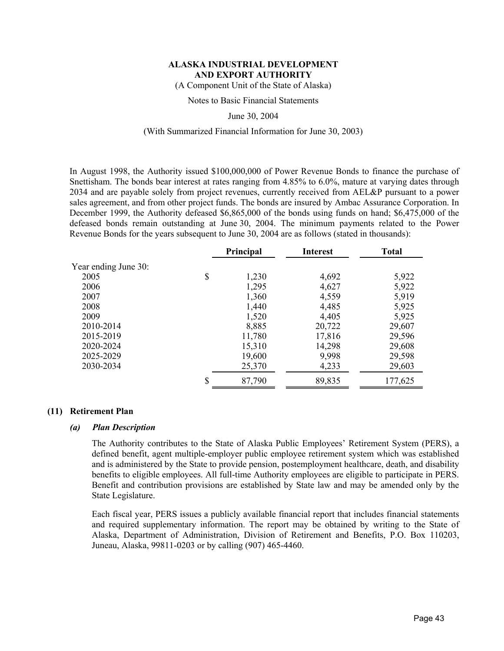(A Component Unit of the State of Alaska)

Notes to Basic Financial Statements

June 30, 2004

## (With Summarized Financial Information for June 30, 2003)

In August 1998, the Authority issued \$100,000,000 of Power Revenue Bonds to finance the purchase of Snettisham. The bonds bear interest at rates ranging from 4.85% to 6.0%, mature at varying dates through 2034 and are payable solely from project revenues, currently received from AEL&P pursuant to a power sales agreement, and from other project funds. The bonds are insured by Ambac Assurance Corporation. In December 1999, the Authority defeased \$6,865,000 of the bonds using funds on hand; \$6,475,000 of the defeased bonds remain outstanding at June 30, 2004. The minimum payments related to the Power Revenue Bonds for the years subsequent to June 30, 2004 are as follows (stated in thousands):

|                      | <b>Principal</b> | <b>Interest</b> | <b>Total</b> |
|----------------------|------------------|-----------------|--------------|
| Year ending June 30: |                  |                 |              |
| 2005                 | \$<br>1,230      | 4,692           | 5,922        |
| 2006                 | 1,295            | 4,627           | 5,922        |
| 2007                 | 1,360            | 4,559           | 5,919        |
| 2008                 | 1,440            | 4,485           | 5,925        |
| 2009                 | 1,520            | 4,405           | 5,925        |
| 2010-2014            | 8,885            | 20,722          | 29,607       |
| 2015-2019            | 11,780           | 17,816          | 29,596       |
| 2020-2024            | 15,310           | 14,298          | 29,608       |
| 2025-2029            | 19,600           | 9,998           | 29,598       |
| 2030-2034            | 25,370           | 4,233           | 29,603       |
|                      | \$<br>87,790     | 89,835          | 177,625      |

#### **(11) Retirement Plan**

#### *(a) Plan Description*

The Authority contributes to the State of Alaska Public Employees' Retirement System (PERS), a defined benefit, agent multiple-employer public employee retirement system which was established and is administered by the State to provide pension, postemployment healthcare, death, and disability benefits to eligible employees. All full-time Authority employees are eligible to participate in PERS. Benefit and contribution provisions are established by State law and may be amended only by the State Legislature.

Each fiscal year, PERS issues a publicly available financial report that includes financial statements and required supplementary information. The report may be obtained by writing to the State of Alaska, Department of Administration, Division of Retirement and Benefits, P.O. Box 110203, Juneau, Alaska, 99811-0203 or by calling (907) 465-4460.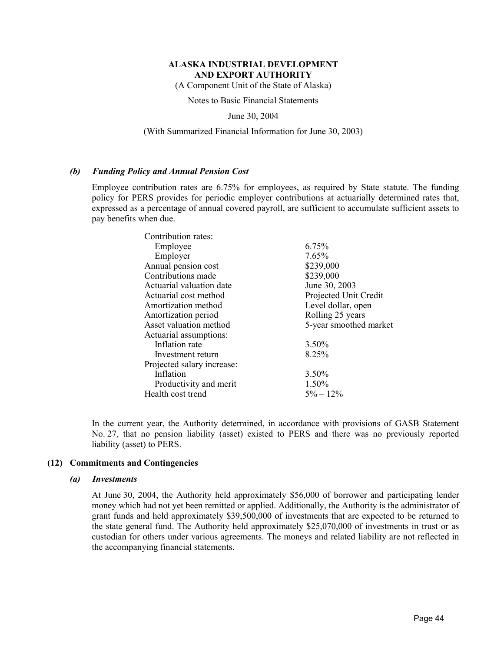(A Component Unit of the State of Alaska)

Notes to Basic Financial Statements

June 30, 2004

#### (With Summarized Financial Information for June 30, 2003)

#### *(b) Funding Policy and Annual Pension Cost*

Employee contribution rates are 6.75% for employees, as required by State statute. The funding policy for PERS provides for periodic employer contributions at actuarially determined rates that, expressed as a percentage of annual covered payroll, are sufficient to accumulate sufficient assets to pay benefits when due.

| Contribution rates:        |                        |  |
|----------------------------|------------------------|--|
| Employee                   | 6.75%                  |  |
| Employer                   | 7.65%                  |  |
| Annual pension cost        | \$239,000              |  |
| Contributions made         | \$239,000              |  |
| Actuarial valuation date   | June 30, 2003          |  |
| Actuarial cost method      | Projected Unit Credit  |  |
| Amortization method        | Level dollar, open     |  |
| Amortization period        | Rolling 25 years       |  |
| Asset valuation method     | 5-year smoothed market |  |
| Actuarial assumptions:     |                        |  |
| Inflation rate             | 3.50%                  |  |
| Investment return          | 8.25%                  |  |
| Projected salary increase: |                        |  |
| Inflation                  | 3.50%                  |  |
| Productivity and merit     | 1.50%                  |  |
| Health cost trend          | $5\% - 12\%$           |  |

In the current year, the Authority determined, in accordance with provisions of GASB Statement No. 27, that no pension liability (asset) existed to PERS and there was no previously reported liability (asset) to PERS.

#### **(12) Commitments and Contingencies**

#### *(a) Investments*

At June 30, 2004, the Authority held approximately \$56,000 of borrower and participating lender money which had not yet been remitted or applied. Additionally, the Authority is the administrator of grant funds and held approximately \$39,500,000 of investments that are expected to be returned to the state general fund. The Authority held approximately \$25,070,000 of investments in trust or as custodian for others under various agreements. The moneys and related liability are not reflected in the accompanying financial statements.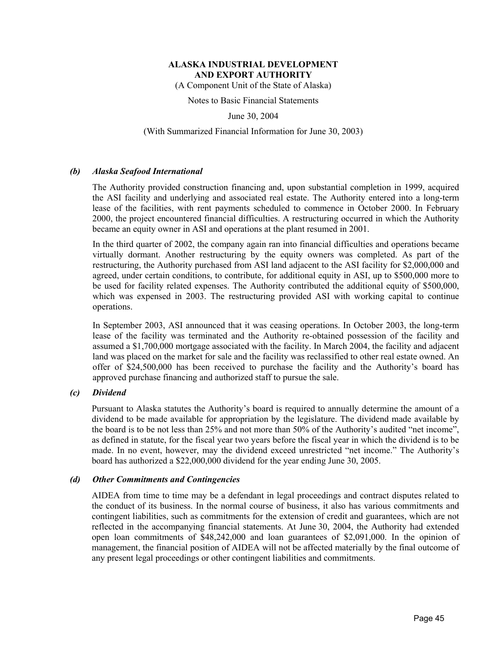(A Component Unit of the State of Alaska)

Notes to Basic Financial Statements

June 30, 2004

#### (With Summarized Financial Information for June 30, 2003)

#### *(b) Alaska Seafood International*

The Authority provided construction financing and, upon substantial completion in 1999, acquired the ASI facility and underlying and associated real estate. The Authority entered into a long-term lease of the facilities, with rent payments scheduled to commence in October 2000. In February 2000, the project encountered financial difficulties. A restructuring occurred in which the Authority became an equity owner in ASI and operations at the plant resumed in 2001.

In the third quarter of 2002, the company again ran into financial difficulties and operations became virtually dormant. Another restructuring by the equity owners was completed. As part of the restructuring, the Authority purchased from ASI land adjacent to the ASI facility for \$2,000,000 and agreed, under certain conditions, to contribute, for additional equity in ASI, up to \$500,000 more to be used for facility related expenses. The Authority contributed the additional equity of \$500,000, which was expensed in 2003. The restructuring provided ASI with working capital to continue operations.

In September 2003, ASI announced that it was ceasing operations. In October 2003, the long-term lease of the facility was terminated and the Authority re-obtained possession of the facility and assumed a \$1,700,000 mortgage associated with the facility. In March 2004, the facility and adjacent land was placed on the market for sale and the facility was reclassified to other real estate owned. An offer of \$24,500,000 has been received to purchase the facility and the Authority's board has approved purchase financing and authorized staff to pursue the sale.

#### *(c) Dividend*

Pursuant to Alaska statutes the Authority's board is required to annually determine the amount of a dividend to be made available for appropriation by the legislature. The dividend made available by the board is to be not less than 25% and not more than 50% of the Authority's audited "net income", as defined in statute, for the fiscal year two years before the fiscal year in which the dividend is to be made. In no event, however, may the dividend exceed unrestricted "net income." The Authority's board has authorized a \$22,000,000 dividend for the year ending June 30, 2005.

#### *(d) Other Commitments and Contingencies*

AIDEA from time to time may be a defendant in legal proceedings and contract disputes related to the conduct of its business. In the normal course of business, it also has various commitments and contingent liabilities, such as commitments for the extension of credit and guarantees, which are not reflected in the accompanying financial statements. At June 30, 2004, the Authority had extended open loan commitments of \$48,242,000 and loan guarantees of \$2,091,000. In the opinion of management, the financial position of AIDEA will not be affected materially by the final outcome of any present legal proceedings or other contingent liabilities and commitments.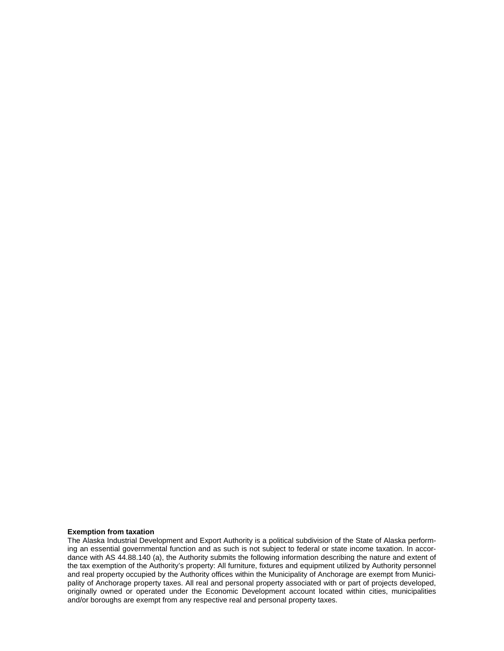#### **Exemption from taxation**

The Alaska Industrial Development and Export Authority is a political subdivision of the State of Alaska performing an essential governmental function and as such is not subject to federal or state income taxation. In accordance with AS 44.88.140 (a), the Authority submits the following information describing the nature and extent of the tax exemption of the Authority's property: All furniture, fixtures and equipment utilized by Authority personnel and real property occupied by the Authority offices within the Municipality of Anchorage are exempt from Municipality of Anchorage property taxes. All real and personal property associated with or part of projects developed, originally owned or operated under the Economic Development account located within cities, municipalities and/or boroughs are exempt from any respective real and personal property taxes.